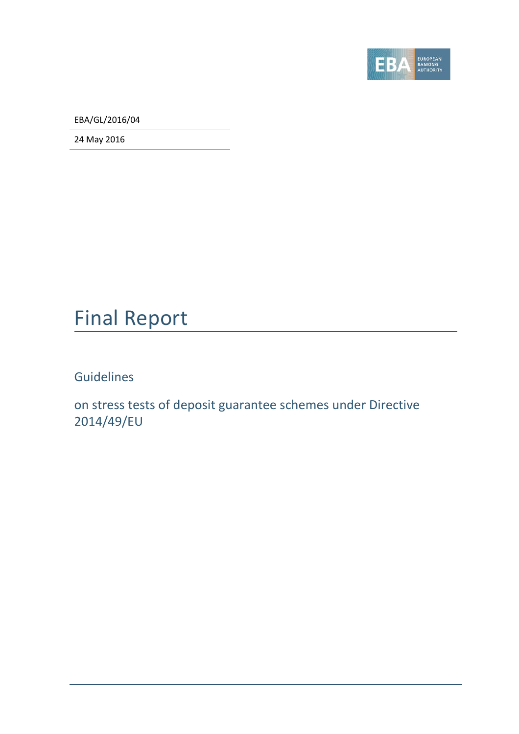

EBA/GL/2016/04

24 May 2016

## Final Report

Guidelines

on stress tests of deposit guarantee schemes under Directive 2014/49/EU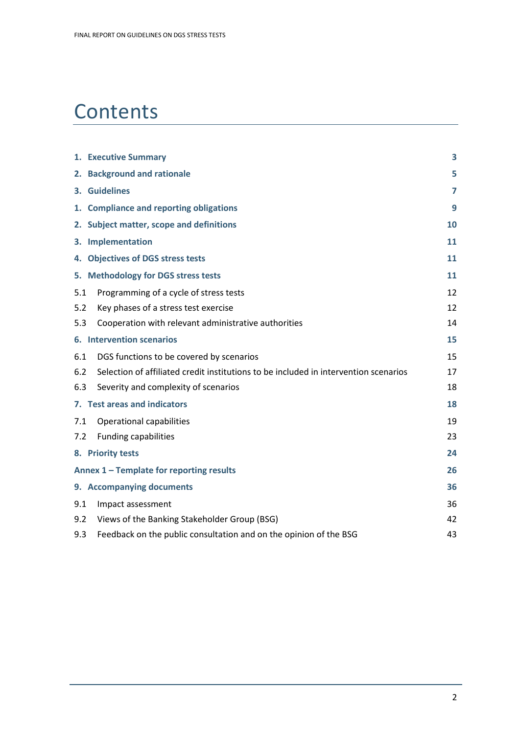# **Contents**

|     | 1. Executive Summary                                                                 | 3              |
|-----|--------------------------------------------------------------------------------------|----------------|
|     | 2. Background and rationale                                                          | 5              |
|     | 3. Guidelines                                                                        | $\overline{ }$ |
|     | 1. Compliance and reporting obligations                                              | 9              |
|     | 2. Subject matter, scope and definitions                                             | 10             |
|     | 3. Implementation                                                                    | 11             |
|     | 4. Objectives of DGS stress tests                                                    | 11             |
|     | 5. Methodology for DGS stress tests                                                  | 11             |
| 5.1 | Programming of a cycle of stress tests                                               | 12             |
| 5.2 | Key phases of a stress test exercise                                                 | 12             |
| 5.3 | Cooperation with relevant administrative authorities                                 | 14             |
|     | 6. Intervention scenarios                                                            | 15             |
| 6.1 | DGS functions to be covered by scenarios                                             | 15             |
| 6.2 | Selection of affiliated credit institutions to be included in intervention scenarios | 17             |
| 6.3 | Severity and complexity of scenarios                                                 | 18             |
|     | 7. Test areas and indicators                                                         | 18             |
| 7.1 | <b>Operational capabilities</b>                                                      | 19             |
| 7.2 | <b>Funding capabilities</b>                                                          | 23             |
|     | 8. Priority tests                                                                    | 24             |
|     | Annex 1 - Template for reporting results                                             | 26             |
|     | 9. Accompanying documents                                                            | 36             |
| 9.1 | Impact assessment                                                                    | 36             |
| 9.2 | Views of the Banking Stakeholder Group (BSG)                                         | 42             |
| 9.3 | Feedback on the public consultation and on the opinion of the BSG                    | 43             |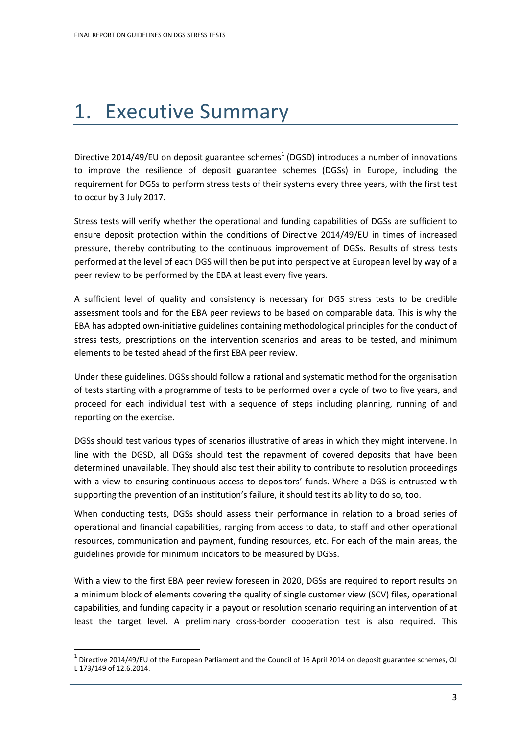# <span id="page-2-0"></span>1. Executive Summary

Directive 20[1](#page-2-1)4/49/EU on deposit guarantee schemes<sup>1</sup> (DGSD) introduces a number of innovations to improve the resilience of deposit guarantee schemes (DGSs) in Europe, including the requirement for DGSs to perform stress tests of their systems every three years, with the first test to occur by 3 July 2017.

Stress tests will verify whether the operational and funding capabilities of DGSs are sufficient to ensure deposit protection within the conditions of Directive 2014/49/EU in times of increased pressure, thereby contributing to the continuous improvement of DGSs. Results of stress tests performed at the level of each DGS will then be put into perspective at European level by way of a peer review to be performed by the EBA at least every five years.

A sufficient level of quality and consistency is necessary for DGS stress tests to be credible assessment tools and for the EBA peer reviews to be based on comparable data. This is why the EBA has adopted own-initiative guidelines containing methodological principles for the conduct of stress tests, prescriptions on the intervention scenarios and areas to be tested, and minimum elements to be tested ahead of the first EBA peer review.

Under these guidelines, DGSs should follow a rational and systematic method for the organisation of tests starting with a programme of tests to be performed over a cycle of two to five years, and proceed for each individual test with a sequence of steps including planning, running of and reporting on the exercise.

DGSs should test various types of scenarios illustrative of areas in which they might intervene. In line with the DGSD, all DGSs should test the repayment of covered deposits that have been determined unavailable. They should also test their ability to contribute to resolution proceedings with a view to ensuring continuous access to depositors' funds. Where a DGS is entrusted with supporting the prevention of an institution's failure, it should test its ability to do so, too.

When conducting tests, DGSs should assess their performance in relation to a broad series of operational and financial capabilities, ranging from access to data, to staff and other operational resources, communication and payment, funding resources, etc. For each of the main areas, the guidelines provide for minimum indicators to be measured by DGSs.

With a view to the first EBA peer review foreseen in 2020, DGSs are required to report results on a minimum block of elements covering the quality of single customer view (SCV) files, operational capabilities, and funding capacity in a payout or resolution scenario requiring an intervention of at least the target level. A preliminary cross-border cooperation test is also required. This

 $\overline{a}$ 

<span id="page-2-1"></span> $<sup>1</sup>$  Directive 2014/49/EU of the European Parliament and the Council of 16 April 2014 on deposit guarantee schemes, OJ</sup> L 173/149 of 12.6.2014.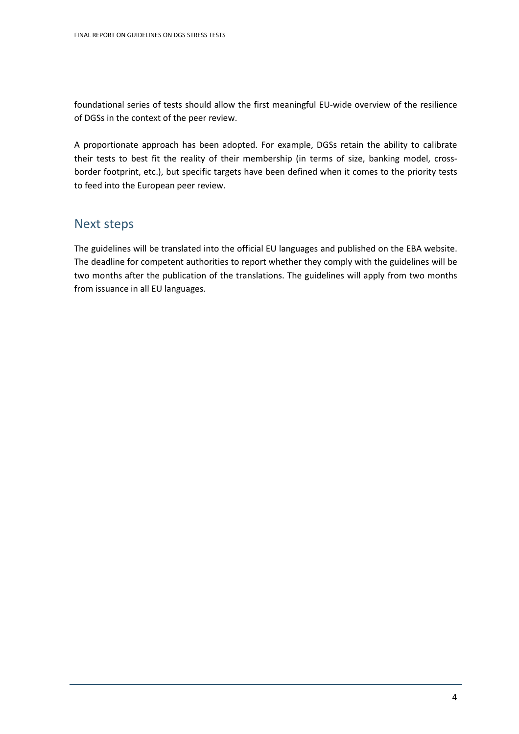foundational series of tests should allow the first meaningful EU-wide overview of the resilience of DGSs in the context of the peer review.

A proportionate approach has been adopted. For example, DGSs retain the ability to calibrate their tests to best fit the reality of their membership (in terms of size, banking model, crossborder footprint, etc.), but specific targets have been defined when it comes to the priority tests to feed into the European peer review.

### Next steps

The guidelines will be translated into the official EU languages and published on the EBA website. The deadline for competent authorities to report whether they comply with the guidelines will be two months after the publication of the translations. The guidelines will apply from two months from issuance in all EU languages.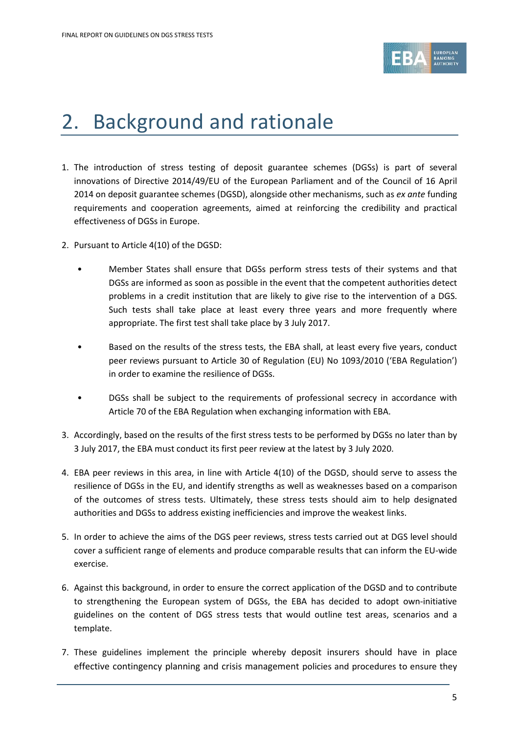

# <span id="page-4-0"></span>2. Background and rationale

- 1. The introduction of stress testing of deposit guarantee schemes (DGSs) is part of several innovations of Directive 2014/49/EU of the European Parliament and of the Council of 16 April 2014 on deposit guarantee schemes (DGSD), alongside other mechanisms, such as *ex ante* funding requirements and cooperation agreements, aimed at reinforcing the credibility and practical effectiveness of DGSs in Europe.
- 2. Pursuant to Article 4(10) of the DGSD:
	- Member States shall ensure that DGSs perform stress tests of their systems and that DGSs are informed as soon as possible in the event that the competent authorities detect problems in a credit institution that are likely to give rise to the intervention of a DGS. Such tests shall take place at least every three years and more frequently where appropriate. The first test shall take place by 3 July 2017.
	- Based on the results of the stress tests, the EBA shall, at least every five years, conduct peer reviews pursuant to Article 30 of Regulation (EU) No 1093/2010 ('EBA Regulation') in order to examine the resilience of DGSs.
	- DGSs shall be subject to the requirements of professional secrecy in accordance with Article 70 of the EBA Regulation when exchanging information with EBA.
- 3. Accordingly, based on the results of the first stress tests to be performed by DGSs no later than by 3 July 2017, the EBA must conduct its first peer review at the latest by 3 July 2020.
- 4. EBA peer reviews in this area, in line with Article 4(10) of the DGSD, should serve to assess the resilience of DGSs in the EU, and identify strengths as well as weaknesses based on a comparison of the outcomes of stress tests. Ultimately, these stress tests should aim to help designated authorities and DGSs to address existing inefficiencies and improve the weakest links.
- 5. In order to achieve the aims of the DGS peer reviews, stress tests carried out at DGS level should cover a sufficient range of elements and produce comparable results that can inform the EU-wide exercise.
- 6. Against this background, in order to ensure the correct application of the DGSD and to contribute to strengthening the European system of DGSs, the EBA has decided to adopt own-initiative guidelines on the content of DGS stress tests that would outline test areas, scenarios and a template.
- 7. These guidelines implement the principle whereby deposit insurers should have in place effective contingency planning and crisis management policies and procedures to ensure they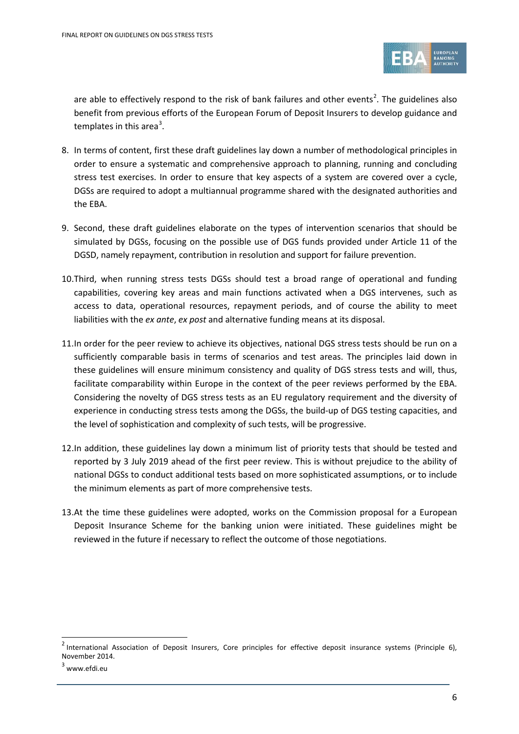

are able to effectively respond to the risk of bank failures and other events<sup>[2](#page-5-0)</sup>. The guidelines also benefit from previous efforts of the European Forum of Deposit Insurers to develop guidance and templates in this area<sup>[3](#page-5-1)</sup>.

- 8. In terms of content, first these draft guidelines lay down a number of methodological principles in order to ensure a systematic and comprehensive approach to planning, running and concluding stress test exercises. In order to ensure that key aspects of a system are covered over a cycle, DGSs are required to adopt a multiannual programme shared with the designated authorities and the EBA.
- 9. Second, these draft guidelines elaborate on the types of intervention scenarios that should be simulated by DGSs, focusing on the possible use of DGS funds provided under Article 11 of the DGSD, namely repayment, contribution in resolution and support for failure prevention.
- 10.Third, when running stress tests DGSs should test a broad range of operational and funding capabilities, covering key areas and main functions activated when a DGS intervenes, such as access to data, operational resources, repayment periods, and of course the ability to meet liabilities with the *ex ante*, *ex post* and alternative funding means at its disposal.
- 11.In order for the peer review to achieve its objectives, national DGS stress tests should be run on a sufficiently comparable basis in terms of scenarios and test areas. The principles laid down in these guidelines will ensure minimum consistency and quality of DGS stress tests and will, thus, facilitate comparability within Europe in the context of the peer reviews performed by the EBA. Considering the novelty of DGS stress tests as an EU regulatory requirement and the diversity of experience in conducting stress tests among the DGSs, the build-up of DGS testing capacities, and the level of sophistication and complexity of such tests, will be progressive.
- 12.In addition, these guidelines lay down a minimum list of priority tests that should be tested and reported by 3 July 2019 ahead of the first peer review. This is without prejudice to the ability of national DGSs to conduct additional tests based on more sophisticated assumptions, or to include the minimum elements as part of more comprehensive tests.
- 13.At the time these guidelines were adopted, works on the Commission proposal for a European Deposit Insurance Scheme for the banking union were initiated. These guidelines might be reviewed in the future if necessary to reflect the outcome of those negotiations.

 $\overline{a}$ 

<span id="page-5-0"></span> $2$  International Association of Deposit Insurers, Core principles for effective deposit insurance systems (Principle 6), November 2014.

<span id="page-5-1"></span> $3$  www.efdi.eu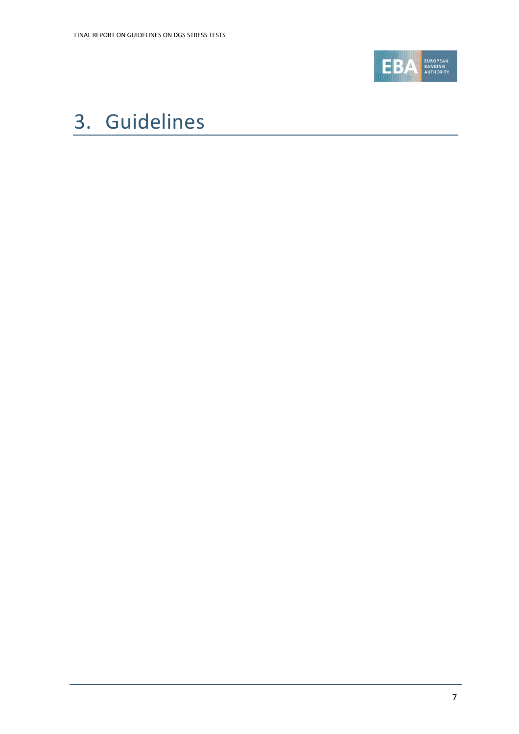

# <span id="page-6-0"></span>3. Guidelines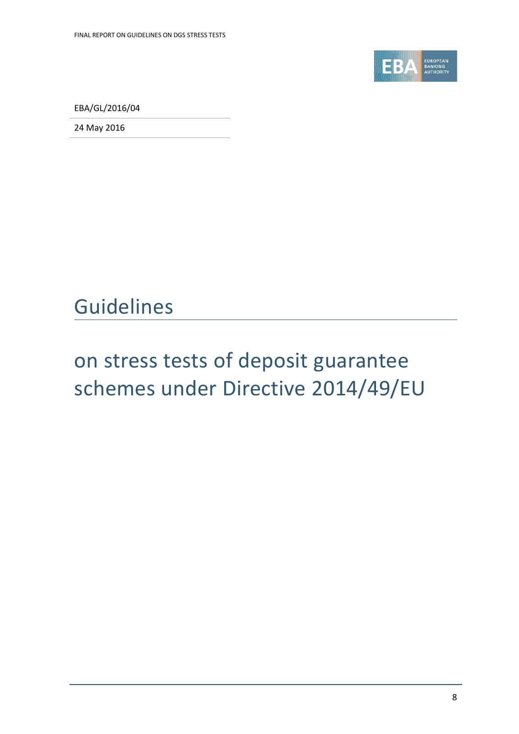

EBA/GL/2016/04

24 May 2016

## Guidelines

# on stress tests of deposit guarantee schemes under Directive 2014/49/EU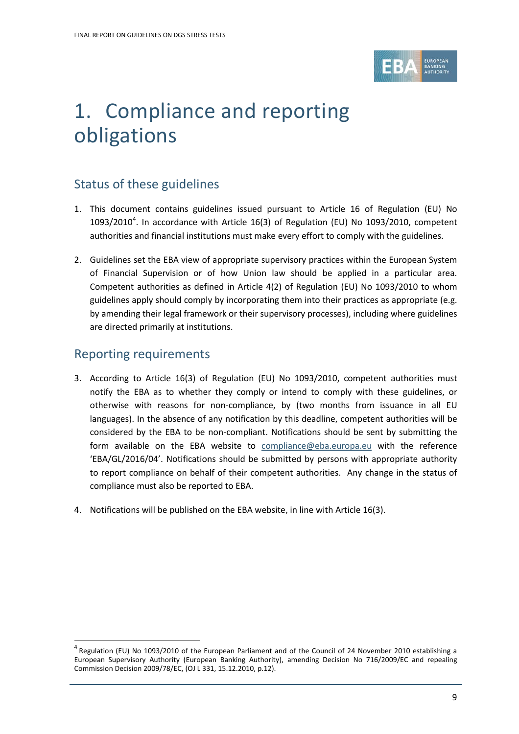

# <span id="page-8-0"></span>1. Compliance and reporting obligations

## Status of these guidelines

- 1. This document contains guidelines issued pursuant to Article 16 of Regulation (EU) No  $1093/2010<sup>4</sup>$  $1093/2010<sup>4</sup>$  $1093/2010<sup>4</sup>$ . In accordance with Article 16(3) of Regulation (EU) No 1093/2010, competent authorities and financial institutions must make every effort to comply with the guidelines.
- 2. Guidelines set the EBA view of appropriate supervisory practices within the European System of Financial Supervision or of how Union law should be applied in a particular area. Competent authorities as defined in Article 4(2) of Regulation (EU) No 1093/2010 to whom guidelines apply should comply by incorporating them into their practices as appropriate (e.g. by amending their legal framework or their supervisory processes), including where guidelines are directed primarily at institutions.

## Reporting requirements

 $\overline{a}$ 

- 3. According to Article 16(3) of Regulation (EU) No 1093/2010, competent authorities must notify the EBA as to whether they comply or intend to comply with these guidelines, or otherwise with reasons for non-compliance, by (two months from issuance in all EU languages). In the absence of any notification by this deadline, competent authorities will be considered by the EBA to be non-compliant. Notifications should be sent by submitting the form available on the EBA website to [compliance@eba.europa.eu](mailto:compliance@eba.europa.eu) with the reference 'EBA/GL/2016/04'. Notifications should be submitted by persons with appropriate authority to report compliance on behalf of their competent authorities. Any change in the status of compliance must also be reported to EBA.
- 4. Notifications will be published on the EBA website, in line with Article 16(3).

<span id="page-8-1"></span><sup>4</sup> Regulation (EU) No 1093/2010 of the European Parliament and of the Council of 24 November 2010 establishing a European Supervisory Authority (European Banking Authority), amending Decision No 716/2009/EC and repealing Commission Decision 2009/78/EC, (OJ L 331, 15.12.2010, p.12).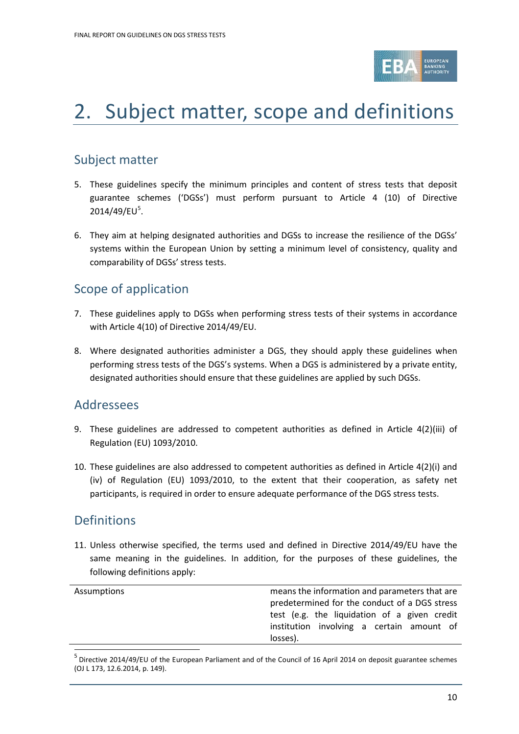

# <span id="page-9-0"></span>2. Subject matter, scope and definitions

## Subject matter

- 5. These guidelines specify the minimum principles and content of stress tests that deposit guarantee schemes ('DGSs') must perform pursuant to Article 4 (10) of Directive 2014/49/EU<sup>[5](#page-9-1)</sup>.
- 6. They aim at helping designated authorities and DGSs to increase the resilience of the DGSs' systems within the European Union by setting a minimum level of consistency, quality and comparability of DGSs' stress tests.

## Scope of application

- 7. These guidelines apply to DGSs when performing stress tests of their systems in accordance with Article 4(10) of Directive 2014/49/EU.
- 8. Where designated authorities administer a DGS, they should apply these guidelines when performing stress tests of the DGS's systems. When a DGS is administered by a private entity, designated authorities should ensure that these guidelines are applied by such DGSs.

### Addressees

- 9. These guidelines are addressed to competent authorities as defined in Article 4(2)(iii) of Regulation (EU) 1093/2010.
- 10. These guidelines are also addressed to competent authorities as defined in Article 4(2)(i) and (iv) of Regulation (EU) 1093/2010, to the extent that their cooperation, as safety net participants, is required in order to ensure adequate performance of the DGS stress tests.

### Definitions

11. Unless otherwise specified, the terms used and defined in Directive 2014/49/EU have the same meaning in the guidelines. In addition, for the purposes of these guidelines, the following definitions apply:

| Assumptions | means the information and parameters that are |  |  |
|-------------|-----------------------------------------------|--|--|
|             | predetermined for the conduct of a DGS stress |  |  |
|             | test (e.g. the liquidation of a given credit  |  |  |
|             | institution involving a certain amount of     |  |  |
|             | losses).                                      |  |  |
|             |                                               |  |  |

<span id="page-9-1"></span><sup>5</sup> Directive 2014/49/EU of the European Parliament and of the Council of 16 April 2014 on deposit guarantee schemes (OJ L 173, 12.6.2014, p. 149).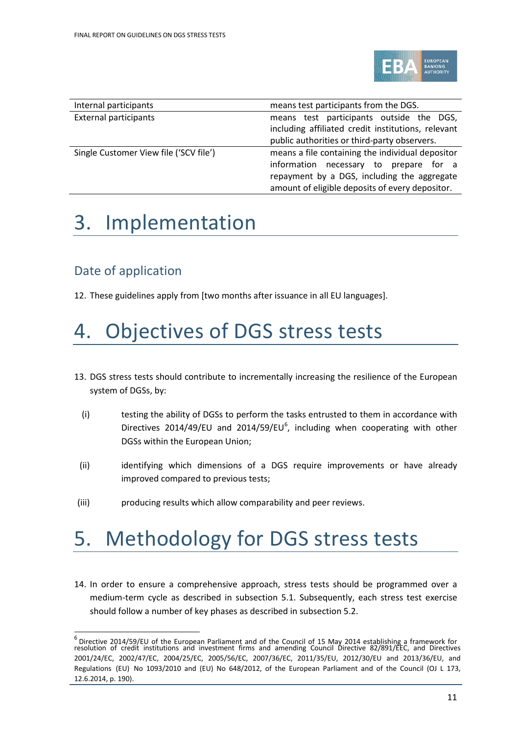

| Internal participants                  | means test participants from the DGS.              |  |  |  |  |
|----------------------------------------|----------------------------------------------------|--|--|--|--|
| <b>External participants</b>           | means test participants outside the DGS,           |  |  |  |  |
|                                        | including affiliated credit institutions, relevant |  |  |  |  |
|                                        | public authorities or third-party observers.       |  |  |  |  |
| Single Customer View file ('SCV file') | means a file containing the individual depositor   |  |  |  |  |
|                                        | information necessary to prepare for a             |  |  |  |  |
|                                        | repayment by a DGS, including the aggregate        |  |  |  |  |
|                                        | amount of eligible deposits of every depositor.    |  |  |  |  |

# <span id="page-10-0"></span>3. Implementation

## Date of application

12. These guidelines apply from [two months after issuance in all EU languages].

# <span id="page-10-1"></span>4. Objectives of DGS stress tests

- 13. DGS stress tests should contribute to incrementally increasing the resilience of the European system of DGSs, by:
	- (i) testing the ability of DGSs to perform the tasks entrusted to them in accordance with Directives 2014/49/EU and 2014/59/EU $^6$  $^6$ , including when cooperating with other DGSs within the European Union;
	- (ii) identifying which dimensions of a DGS require improvements or have already improved compared to previous tests;
- (iii) producing results which allow comparability and peer reviews.

# <span id="page-10-2"></span>5. Methodology for DGS stress tests

14. In order to ensure a comprehensive approach, stress tests should be programmed over a medium-term cycle as described in subsection 5.1. Subsequently, each stress test exercise should follow a number of key phases as described in subsection 5.2.

<span id="page-10-3"></span><sup>&</sup>lt;sup>6</sup> Directive 2014/59/EU of the European Parliament and of the Council of 15 May 2014 establishing a framework for<br>resolution of credit institutions and investment firms and amending Council Directive 82/891/EEC, and Direc 2001/24/EC, 2002/47/EC, 2004/25/EC, 2005/56/EC, 2007/36/EC, 2011/35/EU, 2012/30/EU and 2013/36/EU, and Regulations (EU) No 1093/2010 and (EU) No 648/2012, of the European Parliament and of the Council (OJ L 173, 12.6.2014, p. 190).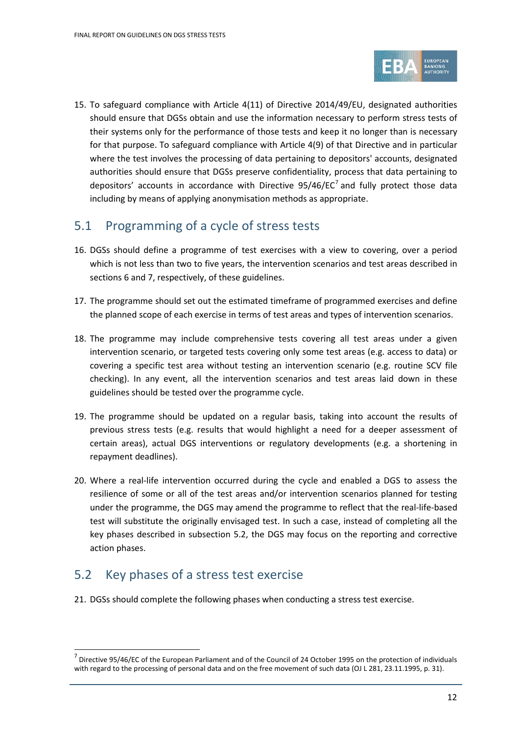

15. To safeguard compliance with Article 4(11) of Directive 2014/49/EU, designated authorities should ensure that DGSs obtain and use the information necessary to perform stress tests of their systems only for the performance of those tests and keep it no longer than is necessary for that purpose. To safeguard compliance with Article 4(9) of that Directive and in particular where the test involves the processing of data pertaining to depositors' accounts, designated authorities should ensure that DGSs preserve confidentiality, process that data pertaining to depositors' accounts in accordance with Directive  $95/46/EC^7$  $95/46/EC^7$  and fully protect those data including by means of applying anonymisation methods as appropriate.

## <span id="page-11-0"></span>5.1 Programming of a cycle of stress tests

- 16. DGSs should define a programme of test exercises with a view to covering, over a period which is not less than two to five years, the intervention scenarios and test areas described in sections 6 and 7, respectively, of these guidelines.
- 17. The programme should set out the estimated timeframe of programmed exercises and define the planned scope of each exercise in terms of test areas and types of intervention scenarios.
- 18. The programme may include comprehensive tests covering all test areas under a given intervention scenario, or targeted tests covering only some test areas (e.g. access to data) or covering a specific test area without testing an intervention scenario (e.g. routine SCV file checking). In any event, all the intervention scenarios and test areas laid down in these guidelines should be tested over the programme cycle.
- 19. The programme should be updated on a regular basis, taking into account the results of previous stress tests (e.g. results that would highlight a need for a deeper assessment of certain areas), actual DGS interventions or regulatory developments (e.g. a shortening in repayment deadlines).
- 20. Where a real-life intervention occurred during the cycle and enabled a DGS to assess the resilience of some or all of the test areas and/or intervention scenarios planned for testing under the programme, the DGS may amend the programme to reflect that the real-life-based test will substitute the originally envisaged test. In such a case, instead of completing all the key phases described in subsection 5.2, the DGS may focus on the reporting and corrective action phases.

## <span id="page-11-1"></span>5.2 Key phases of a stress test exercise

21. DGSs should complete the following phases when conducting a stress test exercise.

<span id="page-11-2"></span> $<sup>7</sup>$  Directive 95/46/EC of the European Parliament and of the Council of 24 October 1995 on the protection of individuals</sup> with regard to the processing of personal data and on the free movement of such data (OJ L 281, 23.11.1995, p. 31).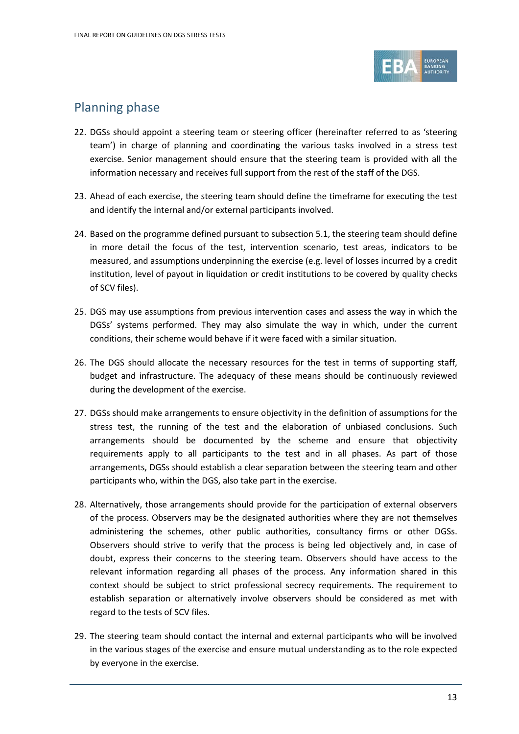

## Planning phase

- 22. DGSs should appoint a steering team or steering officer (hereinafter referred to as 'steering team') in charge of planning and coordinating the various tasks involved in a stress test exercise. Senior management should ensure that the steering team is provided with all the information necessary and receives full support from the rest of the staff of the DGS.
- 23. Ahead of each exercise, the steering team should define the timeframe for executing the test and identify the internal and/or external participants involved.
- 24. Based on the programme defined pursuant to subsection 5.1, the steering team should define in more detail the focus of the test, intervention scenario, test areas, indicators to be measured, and assumptions underpinning the exercise (e.g. level of losses incurred by a credit institution, level of payout in liquidation or credit institutions to be covered by quality checks of SCV files).
- 25. DGS may use assumptions from previous intervention cases and assess the way in which the DGSs' systems performed. They may also simulate the way in which, under the current conditions, their scheme would behave if it were faced with a similar situation.
- 26. The DGS should allocate the necessary resources for the test in terms of supporting staff, budget and infrastructure. The adequacy of these means should be continuously reviewed during the development of the exercise.
- 27. DGSs should make arrangements to ensure objectivity in the definition of assumptions for the stress test, the running of the test and the elaboration of unbiased conclusions. Such arrangements should be documented by the scheme and ensure that objectivity requirements apply to all participants to the test and in all phases. As part of those arrangements, DGSs should establish a clear separation between the steering team and other participants who, within the DGS, also take part in the exercise.
- 28. Alternatively, those arrangements should provide for the participation of external observers of the process. Observers may be the designated authorities where they are not themselves administering the schemes, other public authorities, consultancy firms or other DGSs. Observers should strive to verify that the process is being led objectively and, in case of doubt, express their concerns to the steering team. Observers should have access to the relevant information regarding all phases of the process. Any information shared in this context should be subject to strict professional secrecy requirements. The requirement to establish separation or alternatively involve observers should be considered as met with regard to the tests of SCV files.
- 29. The steering team should contact the internal and external participants who will be involved in the various stages of the exercise and ensure mutual understanding as to the role expected by everyone in the exercise.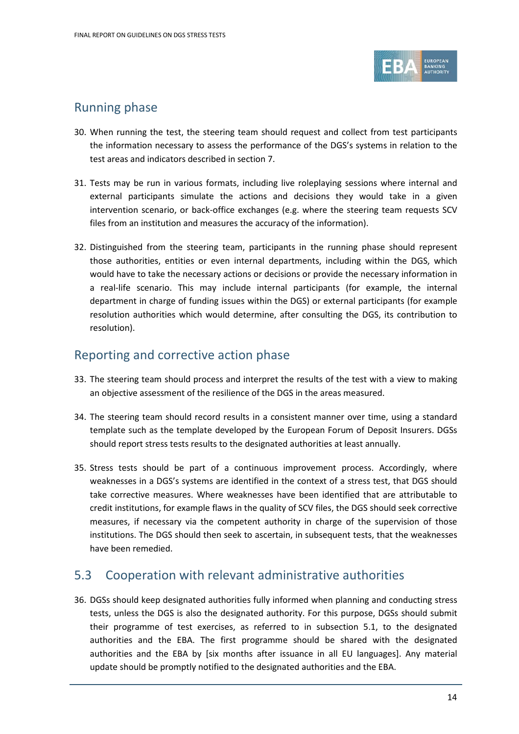

## Running phase

- 30. When running the test, the steering team should request and collect from test participants the information necessary to assess the performance of the DGS's systems in relation to the test areas and indicators described in section 7.
- 31. Tests may be run in various formats, including live roleplaying sessions where internal and external participants simulate the actions and decisions they would take in a given intervention scenario, or back-office exchanges (e.g. where the steering team requests SCV files from an institution and measures the accuracy of the information).
- 32. Distinguished from the steering team, participants in the running phase should represent those authorities, entities or even internal departments, including within the DGS, which would have to take the necessary actions or decisions or provide the necessary information in a real-life scenario. This may include internal participants (for example, the internal department in charge of funding issues within the DGS) or external participants (for example resolution authorities which would determine, after consulting the DGS, its contribution to resolution).

## Reporting and corrective action phase

- 33. The steering team should process and interpret the results of the test with a view to making an objective assessment of the resilience of the DGS in the areas measured.
- 34. The steering team should record results in a consistent manner over time, using a standard template such as the template developed by the European Forum of Deposit Insurers. DGSs should report stress tests results to the designated authorities at least annually.
- 35. Stress tests should be part of a continuous improvement process. Accordingly, where weaknesses in a DGS's systems are identified in the context of a stress test, that DGS should take corrective measures. Where weaknesses have been identified that are attributable to credit institutions, for example flaws in the quality of SCV files, the DGS should seek corrective measures, if necessary via the competent authority in charge of the supervision of those institutions. The DGS should then seek to ascertain, in subsequent tests, that the weaknesses have been remedied.

## <span id="page-13-0"></span>5.3 Cooperation with relevant administrative authorities

36. DGSs should keep designated authorities fully informed when planning and conducting stress tests, unless the DGS is also the designated authority. For this purpose, DGSs should submit their programme of test exercises, as referred to in subsection 5.1, to the designated authorities and the EBA. The first programme should be shared with the designated authorities and the EBA by [six months after issuance in all EU languages]. Any material update should be promptly notified to the designated authorities and the EBA.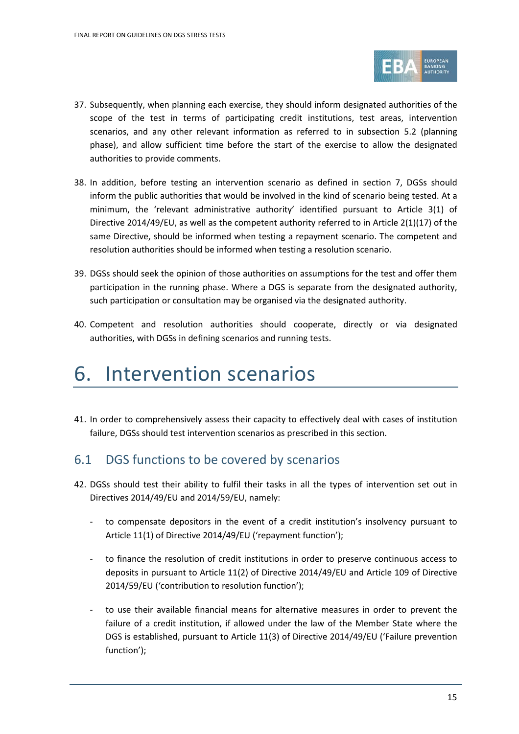

- 37. Subsequently, when planning each exercise, they should inform designated authorities of the scope of the test in terms of participating credit institutions, test areas, intervention scenarios, and any other relevant information as referred to in subsection 5.2 (planning phase), and allow sufficient time before the start of the exercise to allow the designated authorities to provide comments.
- 38. In addition, before testing an intervention scenario as defined in section 7, DGSs should inform the public authorities that would be involved in the kind of scenario being tested. At a minimum, the 'relevant administrative authority' identified pursuant to Article 3(1) of Directive 2014/49/EU, as well as the competent authority referred to in Article 2(1)(17) of the same Directive, should be informed when testing a repayment scenario. The competent and resolution authorities should be informed when testing a resolution scenario.
- 39. DGSs should seek the opinion of those authorities on assumptions for the test and offer them participation in the running phase. Where a DGS is separate from the designated authority, such participation or consultation may be organised via the designated authority.
- 40. Competent and resolution authorities should cooperate, directly or via designated authorities, with DGSs in defining scenarios and running tests.

## <span id="page-14-0"></span>6. Intervention scenarios

41. In order to comprehensively assess their capacity to effectively deal with cases of institution failure, DGSs should test intervention scenarios as prescribed in this section.

## <span id="page-14-1"></span>6.1 DGS functions to be covered by scenarios

- 42. DGSs should test their ability to fulfil their tasks in all the types of intervention set out in Directives 2014/49/EU and 2014/59/EU, namely:
	- to compensate depositors in the event of a credit institution's insolvency pursuant to Article 11(1) of Directive 2014/49/EU ('repayment function');
	- to finance the resolution of credit institutions in order to preserve continuous access to deposits in pursuant to Article 11(2) of Directive 2014/49/EU and Article 109 of Directive 2014/59/EU ('contribution to resolution function');
	- to use their available financial means for alternative measures in order to prevent the failure of a credit institution, if allowed under the law of the Member State where the DGS is established, pursuant to Article 11(3) of Directive 2014/49/EU ('Failure prevention function');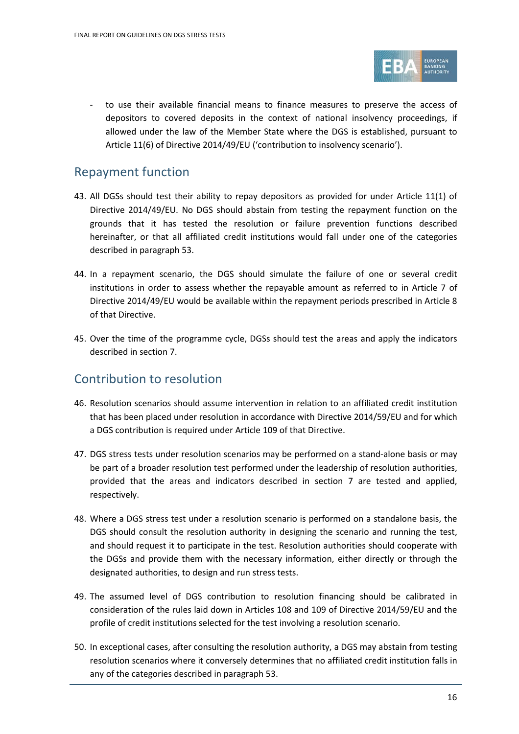

to use their available financial means to finance measures to preserve the access of depositors to covered deposits in the context of national insolvency proceedings, if allowed under the law of the Member State where the DGS is established, pursuant to Article 11(6) of Directive 2014/49/EU ('contribution to insolvency scenario').

### Repayment function

- 43. All DGSs should test their ability to repay depositors as provided for under Article 11(1) of Directive 2014/49/EU. No DGS should abstain from testing the repayment function on the grounds that it has tested the resolution or failure prevention functions described hereinafter, or that all affiliated credit institutions would fall under one of the categories described in paragraph 53.
- 44. In a repayment scenario, the DGS should simulate the failure of one or several credit institutions in order to assess whether the repayable amount as referred to in Article 7 of Directive 2014/49/EU would be available within the repayment periods prescribed in Article 8 of that Directive.
- 45. Over the time of the programme cycle, DGSs should test the areas and apply the indicators described in section 7.

## Contribution to resolution

- 46. Resolution scenarios should assume intervention in relation to an affiliated credit institution that has been placed under resolution in accordance with Directive 2014/59/EU and for which a DGS contribution is required under Article 109 of that Directive.
- 47. DGS stress tests under resolution scenarios may be performed on a stand-alone basis or may be part of a broader resolution test performed under the leadership of resolution authorities, provided that the areas and indicators described in section 7 are tested and applied, respectively.
- 48. Where a DGS stress test under a resolution scenario is performed on a standalone basis, the DGS should consult the resolution authority in designing the scenario and running the test, and should request it to participate in the test. Resolution authorities should cooperate with the DGSs and provide them with the necessary information, either directly or through the designated authorities, to design and run stress tests.
- 49. The assumed level of DGS contribution to resolution financing should be calibrated in consideration of the rules laid down in Articles 108 and 109 of Directive 2014/59/EU and the profile of credit institutions selected for the test involving a resolution scenario.
- 50. In exceptional cases, after consulting the resolution authority, a DGS may abstain from testing resolution scenarios where it conversely determines that no affiliated credit institution falls in any of the categories described in paragraph 53.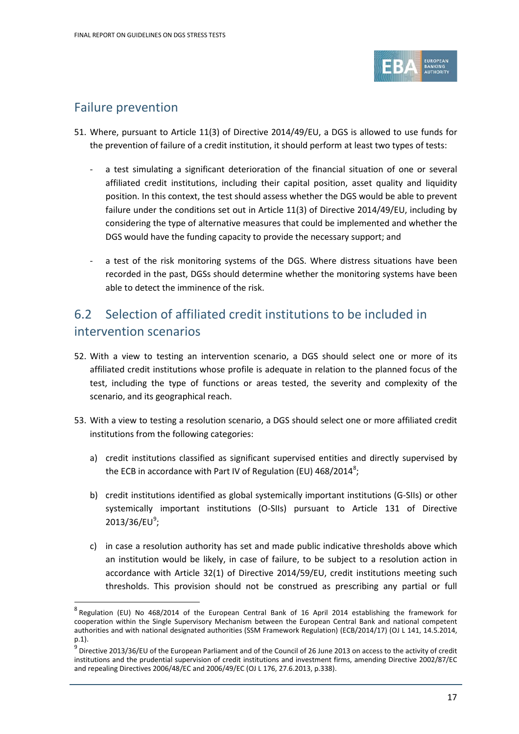

## Failure prevention

 $\overline{a}$ 

- 51. Where, pursuant to Article 11(3) of Directive 2014/49/EU, a DGS is allowed to use funds for the prevention of failure of a credit institution, it should perform at least two types of tests:
	- a test simulating a significant deterioration of the financial situation of one or several affiliated credit institutions, including their capital position, asset quality and liquidity position. In this context, the test should assess whether the DGS would be able to prevent failure under the conditions set out in Article 11(3) of Directive 2014/49/EU, including by considering the type of alternative measures that could be implemented and whether the DGS would have the funding capacity to provide the necessary support; and
	- a test of the risk monitoring systems of the DGS. Where distress situations have been recorded in the past, DGSs should determine whether the monitoring systems have been able to detect the imminence of the risk.

## <span id="page-16-0"></span>6.2 Selection of affiliated credit institutions to be included in intervention scenarios

- 52. With a view to testing an intervention scenario, a DGS should select one or more of its affiliated credit institutions whose profile is adequate in relation to the planned focus of the test, including the type of functions or areas tested, the severity and complexity of the scenario, and its geographical reach.
- 53. With a view to testing a resolution scenario, a DGS should select one or more affiliated credit institutions from the following categories:
	- a) credit institutions classified as significant supervised entities and directly supervised by the ECB in accordance with Part IV of Regulation (EU) 46[8](#page-16-1)/2014 $^8$ ;
	- b) credit institutions identified as global systemically important institutions (G-SIIs) or other systemically important institutions (O-SIIs) pursuant to Article 131 of Directive 2013/36/EU<sup>[9](#page-16-2)</sup>;
	- c) in case a resolution authority has set and made public indicative thresholds above which an institution would be likely, in case of failure, to be subject to a resolution action in accordance with Article 32(1) of Directive 2014/59/EU, credit institutions meeting such thresholds. This provision should not be construed as prescribing any partial or full

<span id="page-16-1"></span><sup>&</sup>lt;sup>8</sup> Regulation (EU) No 468/2014 of the European Central Bank of 16 April 2014 establishing the framework for cooperation within the Single Supervisory Mechanism between the European Central Bank and national competent authorities and with national designated authorities (SSM Framework Regulation) (ECB/2014/17) (OJ L 141, 14.5.2014, p.1).

<span id="page-16-2"></span> $^9$  Directive 2013/36/EU of the European Parliament and of the Council of 26 June 2013 on access to the activity of credit institutions and the prudential supervision of credit institutions and investment firms, amending Directive 2002/87/EC and repealing Directives 2006/48/EC and 2006/49/EC (OJ L 176, 27.6.2013, p.338).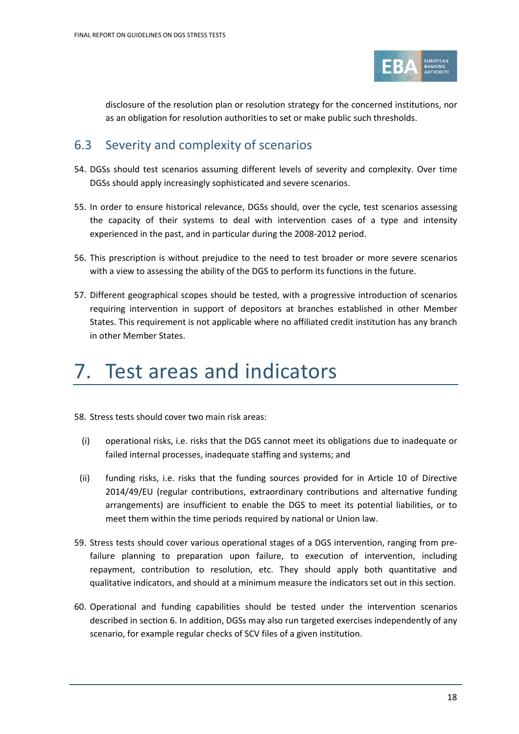

disclosure of the resolution plan or resolution strategy for the concerned institutions, nor as an obligation for resolution authorities to set or make public such thresholds.

## <span id="page-17-0"></span>6.3 Severity and complexity of scenarios

- 54. DGSs should test scenarios assuming different levels of severity and complexity. Over time DGSs should apply increasingly sophisticated and severe scenarios.
- 55. In order to ensure historical relevance, DGSs should, over the cycle, test scenarios assessing the capacity of their systems to deal with intervention cases of a type and intensity experienced in the past, and in particular during the 2008-2012 period.
- 56. This prescription is without prejudice to the need to test broader or more severe scenarios with a view to assessing the ability of the DGS to perform its functions in the future.
- 57. Different geographical scopes should be tested, with a progressive introduction of scenarios requiring intervention in support of depositors at branches established in other Member States. This requirement is not applicable where no affiliated credit institution has any branch in other Member States.

# <span id="page-17-1"></span>7. Test areas and indicators

58. Stress tests should cover two main risk areas:

- (i) operational risks, i.e. risks that the DGS cannot meet its obligations due to inadequate or failed internal processes, inadequate staffing and systems; and
- (ii) funding risks, i.e. risks that the funding sources provided for in Article 10 of Directive 2014/49/EU (regular contributions, extraordinary contributions and alternative funding arrangements) are insufficient to enable the DGS to meet its potential liabilities, or to meet them within the time periods required by national or Union law.
- 59. Stress tests should cover various operational stages of a DGS intervention, ranging from prefailure planning to preparation upon failure, to execution of intervention, including repayment, contribution to resolution, etc. They should apply both quantitative and qualitative indicators, and should at a minimum measure the indicators set out in this section.
- 60. Operational and funding capabilities should be tested under the intervention scenarios described in section 6. In addition, DGSs may also run targeted exercises independently of any scenario, for example regular checks of SCV files of a given institution.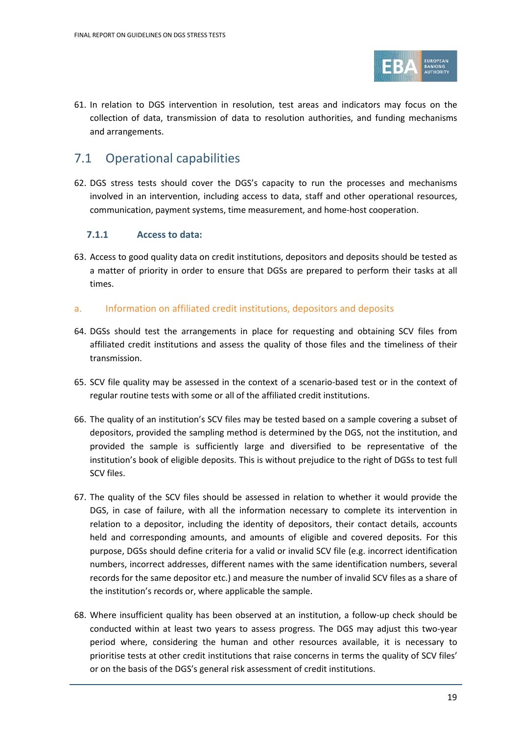

61. In relation to DGS intervention in resolution, test areas and indicators may focus on the collection of data, transmission of data to resolution authorities, and funding mechanisms and arrangements.

## <span id="page-18-0"></span>7.1 Operational capabilities

62. DGS stress tests should cover the DGS's capacity to run the processes and mechanisms involved in an intervention, including access to data, staff and other operational resources, communication, payment systems, time measurement, and home-host cooperation.

### **7.1.1 Access to data:**

63. Access to good quality data on credit institutions, depositors and deposits should be tested as a matter of priority in order to ensure that DGSs are prepared to perform their tasks at all times.

### a. Information on affiliated credit institutions, depositors and deposits

- 64. DGSs should test the arrangements in place for requesting and obtaining SCV files from affiliated credit institutions and assess the quality of those files and the timeliness of their transmission.
- 65. SCV file quality may be assessed in the context of a scenario-based test or in the context of regular routine tests with some or all of the affiliated credit institutions.
- 66. The quality of an institution's SCV files may be tested based on a sample covering a subset of depositors, provided the sampling method is determined by the DGS, not the institution, and provided the sample is sufficiently large and diversified to be representative of the institution's book of eligible deposits. This is without prejudice to the right of DGSs to test full SCV files.
- 67. The quality of the SCV files should be assessed in relation to whether it would provide the DGS, in case of failure, with all the information necessary to complete its intervention in relation to a depositor, including the identity of depositors, their contact details, accounts held and corresponding amounts, and amounts of eligible and covered deposits. For this purpose, DGSs should define criteria for a valid or invalid SCV file (e.g. incorrect identification numbers, incorrect addresses, different names with the same identification numbers, several records for the same depositor etc.) and measure the number of invalid SCV files as a share of the institution's records or, where applicable the sample.
- 68. Where insufficient quality has been observed at an institution, a follow-up check should be conducted within at least two years to assess progress. The DGS may adjust this two-year period where, considering the human and other resources available, it is necessary to prioritise tests at other credit institutions that raise concerns in terms the quality of SCV files' or on the basis of the DGS's general risk assessment of credit institutions.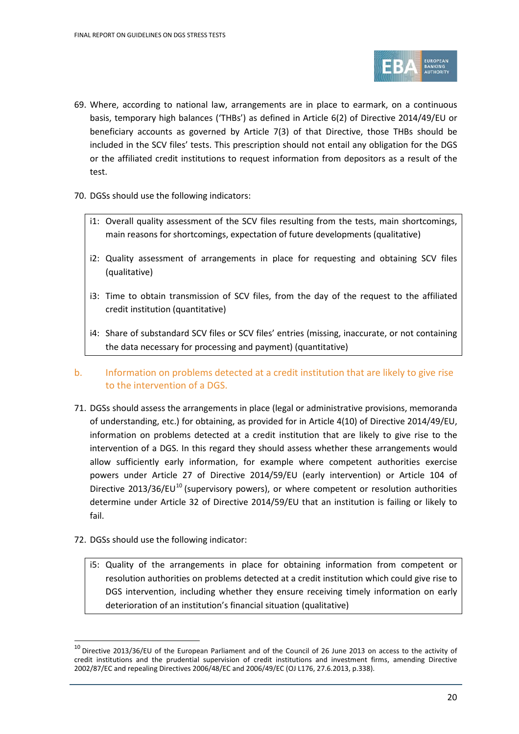

- 69. Where, according to national law, arrangements are in place to earmark, on a continuous basis, temporary high balances ('THBs') as defined in Article 6(2) of Directive 2014/49/EU or beneficiary accounts as governed by Article 7(3) of that Directive, those THBs should be included in the SCV files' tests. This prescription should not entail any obligation for the DGS or the affiliated credit institutions to request information from depositors as a result of the test.
- 70. DGSs should use the following indicators:
	- i1: Overall quality assessment of the SCV files resulting from the tests, main shortcomings, main reasons for shortcomings, expectation of future developments (qualitative)
	- i2: Quality assessment of arrangements in place for requesting and obtaining SCV files (qualitative)
	- i3: Time to obtain transmission of SCV files, from the day of the request to the affiliated credit institution (quantitative)
	- i4: Share of substandard SCV files or SCV files' entries (missing, inaccurate, or not containing the data necessary for processing and payment) (quantitative)
- b. Information on problems detected at a credit institution that are likely to give rise to the intervention of a DGS.
- 71. DGSs should assess the arrangements in place (legal or administrative provisions, memoranda of understanding, etc.) for obtaining, as provided for in Article 4(10) of Directive 2014/49/EU, information on problems detected at a credit institution that are likely to give rise to the intervention of a DGS. In this regard they should assess whether these arrangements would allow sufficiently early information, for example where competent authorities exercise powers under Article 27 of Directive 2014/59/EU (early intervention) or Article 104 of Directive  $2013/36/EU^{10}$  $2013/36/EU^{10}$  $2013/36/EU^{10}$  (supervisory powers), or where competent or resolution authorities determine under Article 32 of Directive 2014/59/EU that an institution is failing or likely to fail.
- 72. DGSs should use the following indicator:

 $\overline{a}$ 

i5: Quality of the arrangements in place for obtaining information from competent or resolution authorities on problems detected at a credit institution which could give rise to DGS intervention, including whether they ensure receiving timely information on early deterioration of an institution's financial situation (qualitative)

<span id="page-19-0"></span> $10$  Directive 2013/36/EU of the European Parliament and of the Council of 26 June 2013 on access to the activity of credit institutions and the prudential supervision of credit institutions and investment firms, amending Directive 2002/87/EC and repealing Directives 2006/48/EC and 2006/49/EC (OJ L176, 27.6.2013, p.338).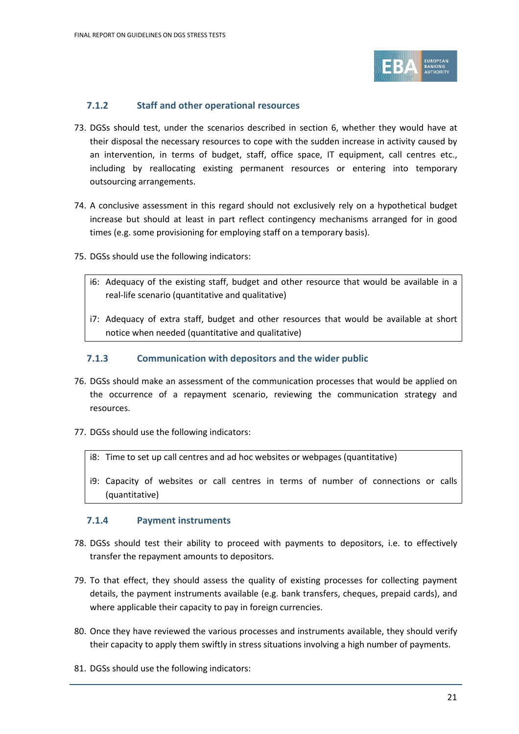

#### **7.1.2 Staff and other operational resources**

- 73. DGSs should test, under the scenarios described in section 6, whether they would have at their disposal the necessary resources to cope with the sudden increase in activity caused by an intervention, in terms of budget, staff, office space, IT equipment, call centres etc., including by reallocating existing permanent resources or entering into temporary outsourcing arrangements.
- 74. A conclusive assessment in this regard should not exclusively rely on a hypothetical budget increase but should at least in part reflect contingency mechanisms arranged for in good times (e.g. some provisioning for employing staff on a temporary basis).
- 75. DGSs should use the following indicators:
	- i6: Adequacy of the existing staff, budget and other resource that would be available in a real-life scenario (quantitative and qualitative)
	- i7: Adequacy of extra staff, budget and other resources that would be available at short notice when needed (quantitative and qualitative)

### **7.1.3 Communication with depositors and the wider public**

- 76. DGSs should make an assessment of the communication processes that would be applied on the occurrence of a repayment scenario, reviewing the communication strategy and resources.
- 77. DGSs should use the following indicators:
	- i8: Time to set up call centres and ad hoc websites or webpages (quantitative)
	- i9: Capacity of websites or call centres in terms of number of connections or calls (quantitative)

#### **7.1.4 Payment instruments**

- 78. DGSs should test their ability to proceed with payments to depositors, i.e. to effectively transfer the repayment amounts to depositors.
- 79. To that effect, they should assess the quality of existing processes for collecting payment details, the payment instruments available (e.g. bank transfers, cheques, prepaid cards), and where applicable their capacity to pay in foreign currencies.
- 80. Once they have reviewed the various processes and instruments available, they should verify their capacity to apply them swiftly in stress situations involving a high number of payments.
- 81. DGSs should use the following indicators: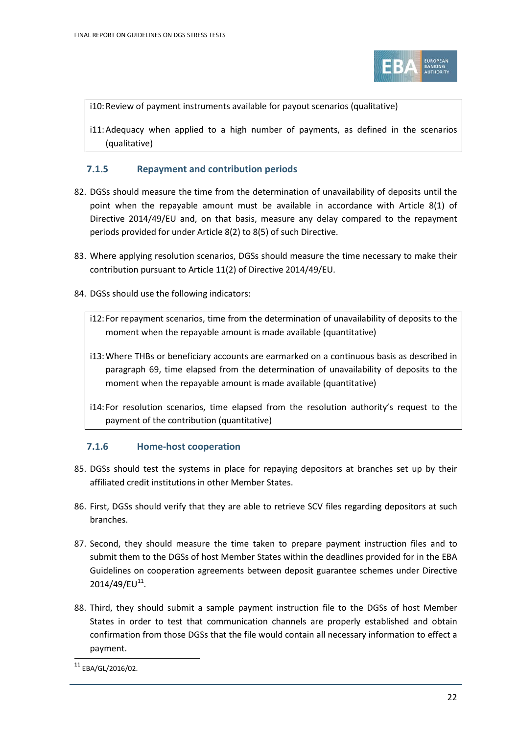

i10:Review of payment instruments available for payout scenarios (qualitative)

i11:Adequacy when applied to a high number of payments, as defined in the scenarios (qualitative)

### **7.1.5 Repayment and contribution periods**

- 82. DGSs should measure the time from the determination of unavailability of deposits until the point when the repayable amount must be available in accordance with Article 8(1) of Directive 2014/49/EU and, on that basis, measure any delay compared to the repayment periods provided for under Article 8(2) to 8(5) of such Directive.
- 83. Where applying resolution scenarios, DGSs should measure the time necessary to make their contribution pursuant to Article 11(2) of Directive 2014/49/EU.
- 84. DGSs should use the following indicators:
	- i12: For repayment scenarios, time from the determination of unavailability of deposits to the moment when the repayable amount is made available (quantitative)
	- i13:Where THBs or beneficiary accounts are earmarked on a continuous basis as described in paragraph 69, time elapsed from the determination of unavailability of deposits to the moment when the repayable amount is made available (quantitative)
	- i14: For resolution scenarios, time elapsed from the resolution authority's request to the payment of the contribution (quantitative)

### **7.1.6 Home-host cooperation**

- 85. DGSs should test the systems in place for repaying depositors at branches set up by their affiliated credit institutions in other Member States.
- 86. First, DGSs should verify that they are able to retrieve SCV files regarding depositors at such branches.
- 87. Second, they should measure the time taken to prepare payment instruction files and to submit them to the DGSs of host Member States within the deadlines provided for in the EBA Guidelines on cooperation agreements between deposit guarantee schemes under Directive  $2014/49$ /EU<sup>11</sup>.
- 88. Third, they should submit a sample payment instruction file to the DGSs of host Member States in order to test that communication channels are properly established and obtain confirmation from those DGSs that the file would contain all necessary information to effect a payment.

<span id="page-21-0"></span><sup>11</sup> EBA/GL/2016/02.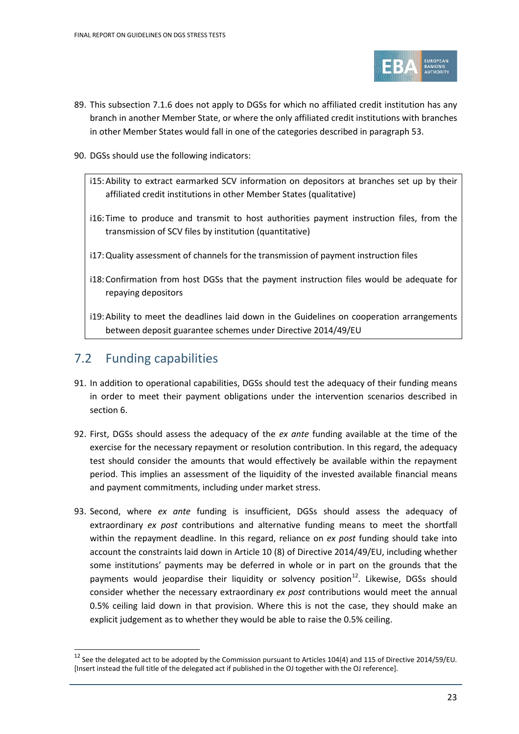

- 89. This subsection 7.1.6 does not apply to DGSs for which no affiliated credit institution has any branch in another Member State, or where the only affiliated credit institutions with branches in other Member States would fall in one of the categories described in paragraph 53.
- 90. DGSs should use the following indicators:
	- i15:Ability to extract earmarked SCV information on depositors at branches set up by their affiliated credit institutions in other Member States (qualitative)
	- i16: Time to produce and transmit to host authorities payment instruction files, from the transmission of SCV files by institution (quantitative)
	- i17:Quality assessment of channels for the transmission of payment instruction files
	- i18:Confirmation from host DGSs that the payment instruction files would be adequate for repaying depositors
	- i19:Ability to meet the deadlines laid down in the Guidelines on cooperation arrangements between deposit guarantee schemes under Directive 2014/49/EU

## <span id="page-22-0"></span>7.2 Funding capabilities

 $\overline{a}$ 

- 91. In addition to operational capabilities, DGSs should test the adequacy of their funding means in order to meet their payment obligations under the intervention scenarios described in section 6.
- 92. First, DGSs should assess the adequacy of the *ex ante* funding available at the time of the exercise for the necessary repayment or resolution contribution. In this regard, the adequacy test should consider the amounts that would effectively be available within the repayment period. This implies an assessment of the liquidity of the invested available financial means and payment commitments, including under market stress.
- 93. Second, where *ex ante* funding is insufficient, DGSs should assess the adequacy of extraordinary *ex post* contributions and alternative funding means to meet the shortfall within the repayment deadline. In this regard, reliance on *ex post* funding should take into account the constraints laid down in Article 10 (8) of Directive 2014/49/EU, including whether some institutions' payments may be deferred in whole or in part on the grounds that the payments would jeopardise their liquidity or solvency position<sup>12</sup>. Likewise, DGSs should consider whether the necessary extraordinary *ex post* contributions would meet the annual 0.5% ceiling laid down in that provision. Where this is not the case, they should make an explicit judgement as to whether they would be able to raise the 0.5% ceiling.

<span id="page-22-1"></span> $12$  See the delegated act to be adopted by the Commission pursuant to Articles 104(4) and 115 of Directive 2014/59/EU. [Insert instead the full title of the delegated act if published in the OJ together with the OJ reference].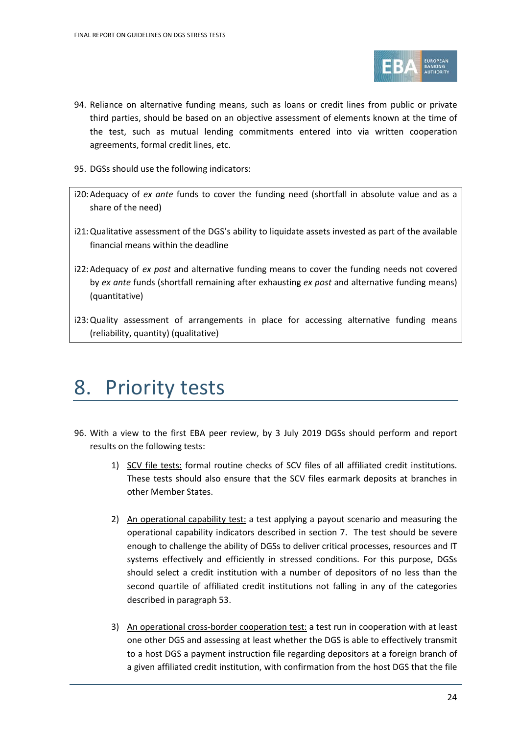

- 94. Reliance on alternative funding means, such as loans or credit lines from public or private third parties, should be based on an objective assessment of elements known at the time of the test, such as mutual lending commitments entered into via written cooperation agreements, formal credit lines, etc.
- 95. DGSs should use the following indicators:
- i20:Adequacy of *ex ante* funds to cover the funding need (shortfall in absolute value and as a share of the need)
- i21:Qualitative assessment of the DGS's ability to liquidate assets invested as part of the available financial means within the deadline
- i22:Adequacy of *ex post* and alternative funding means to cover the funding needs not covered by *ex ante* funds (shortfall remaining after exhausting *ex post* and alternative funding means) (quantitative)
- i23:Quality assessment of arrangements in place for accessing alternative funding means (reliability, quantity) (qualitative)

## <span id="page-23-0"></span>8. Priority tests

- 96. With a view to the first EBA peer review, by 3 July 2019 DGSs should perform and report results on the following tests:
	- 1) SCV file tests: formal routine checks of SCV files of all affiliated credit institutions. These tests should also ensure that the SCV files earmark deposits at branches in other Member States.
	- 2) An operational capability test: a test applying a payout scenario and measuring the operational capability indicators described in section 7. The test should be severe enough to challenge the ability of DGSs to deliver critical processes, resources and IT systems effectively and efficiently in stressed conditions. For this purpose, DGSs should select a credit institution with a number of depositors of no less than the second quartile of affiliated credit institutions not falling in any of the categories described in paragraph 53.
	- 3) An operational cross-border cooperation test: a test run in cooperation with at least one other DGS and assessing at least whether the DGS is able to effectively transmit to a host DGS a payment instruction file regarding depositors at a foreign branch of a given affiliated credit institution, with confirmation from the host DGS that the file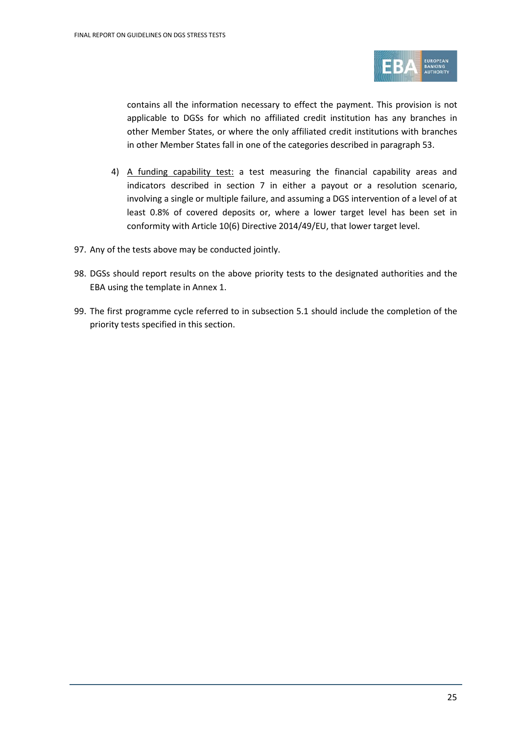

contains all the information necessary to effect the payment. This provision is not applicable to DGSs for which no affiliated credit institution has any branches in other Member States, or where the only affiliated credit institutions with branches in other Member States fall in one of the categories described in paragraph 53.

- 4) A funding capability test: a test measuring the financial capability areas and indicators described in section 7 in either a payout or a resolution scenario, involving a single or multiple failure, and assuming a DGS intervention of a level of at least 0.8% of covered deposits or, where a lower target level has been set in conformity with Article 10(6) Directive 2014/49/EU, that lower target level.
- 97. Any of the tests above may be conducted jointly.
- 98. DGSs should report results on the above priority tests to the designated authorities and the EBA using the template in Annex 1.
- 99. The first programme cycle referred to in subsection 5.1 should include the completion of the priority tests specified in this section.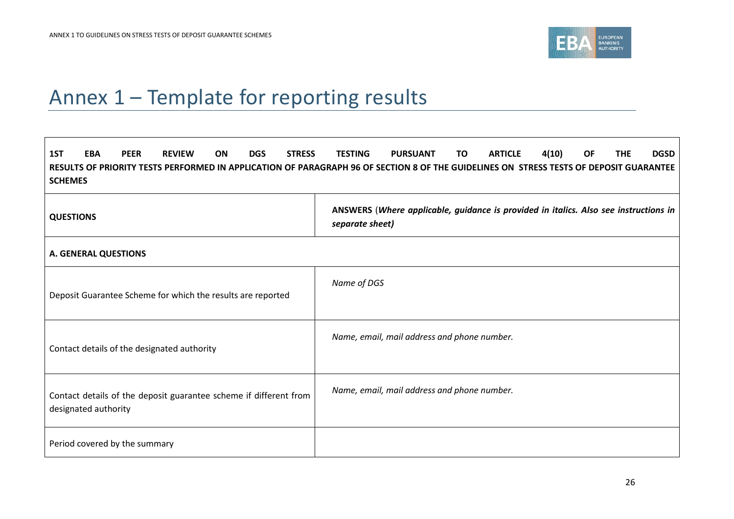

# Annex 1 – Template for reporting results

<span id="page-25-0"></span>

| 1ST<br><b>PEER</b><br><b>STRESS</b><br><b>EBA</b><br><b>REVIEW</b><br><b>DGS</b><br>ON.<br><b>SCHEMES</b>                   | <b>ARTICLE</b><br>4(10)<br><b>THE</b><br><b>DGSD</b><br><b>TESTING</b><br><b>PURSUANT</b><br>TO.<br>ΟF<br>RESULTS OF PRIORITY TESTS PERFORMED IN APPLICATION OF PARAGRAPH 96 OF SECTION 8 OF THE GUIDELINES ON STRESS TESTS OF DEPOSIT GUARANTEE |  |  |  |
|-----------------------------------------------------------------------------------------------------------------------------|--------------------------------------------------------------------------------------------------------------------------------------------------------------------------------------------------------------------------------------------------|--|--|--|
| ANSWERS (Where applicable, guidance is provided in italics. Also see instructions in<br><b>QUESTIONS</b><br>separate sheet) |                                                                                                                                                                                                                                                  |  |  |  |
| <b>A. GENERAL QUESTIONS</b>                                                                                                 |                                                                                                                                                                                                                                                  |  |  |  |
| Deposit Guarantee Scheme for which the results are reported                                                                 | Name of DGS                                                                                                                                                                                                                                      |  |  |  |
| Contact details of the designated authority                                                                                 | Name, email, mail address and phone number.                                                                                                                                                                                                      |  |  |  |
| Contact details of the deposit guarantee scheme if different from<br>designated authority                                   | Name, email, mail address and phone number.                                                                                                                                                                                                      |  |  |  |
| Period covered by the summary                                                                                               |                                                                                                                                                                                                                                                  |  |  |  |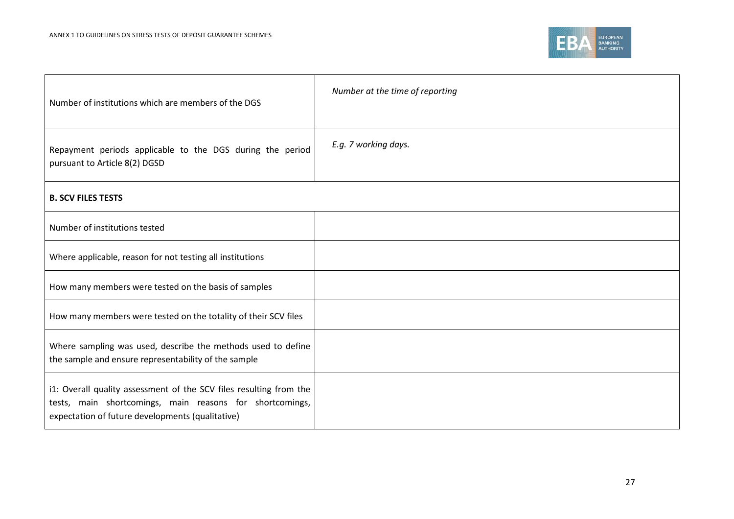

| Number of institutions which are members of the DGS                                                                                                                                | Number at the time of reporting |
|------------------------------------------------------------------------------------------------------------------------------------------------------------------------------------|---------------------------------|
| Repayment periods applicable to the DGS during the period<br>pursuant to Article 8(2) DGSD                                                                                         | E.g. 7 working days.            |
| <b>B. SCV FILES TESTS</b>                                                                                                                                                          |                                 |
| Number of institutions tested                                                                                                                                                      |                                 |
| Where applicable, reason for not testing all institutions                                                                                                                          |                                 |
| How many members were tested on the basis of samples                                                                                                                               |                                 |
| How many members were tested on the totality of their SCV files                                                                                                                    |                                 |
| Where sampling was used, describe the methods used to define<br>the sample and ensure representability of the sample                                                               |                                 |
| i1: Overall quality assessment of the SCV files resulting from the<br>tests, main shortcomings, main reasons for shortcomings,<br>expectation of future developments (qualitative) |                                 |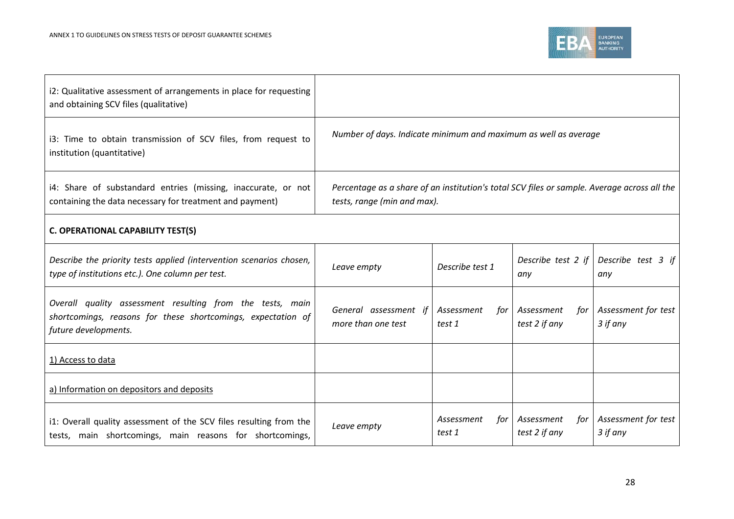

| i2: Qualitative assessment of arrangements in place for requesting<br>and obtaining SCV files (qualitative)                                       |                                                                                                                            |                             |                                    |                                 |
|---------------------------------------------------------------------------------------------------------------------------------------------------|----------------------------------------------------------------------------------------------------------------------------|-----------------------------|------------------------------------|---------------------------------|
| i3: Time to obtain transmission of SCV files, from request to<br>institution (quantitative)                                                       | Number of days. Indicate minimum and maximum as well as average                                                            |                             |                                    |                                 |
| i4: Share of substandard entries (missing, inaccurate, or not<br>containing the data necessary for treatment and payment)                         | Percentage as a share of an institution's total SCV files or sample. Average across all the<br>tests, range (min and max). |                             |                                    |                                 |
| <b>C. OPERATIONAL CAPABILITY TEST(S)</b>                                                                                                          |                                                                                                                            |                             |                                    |                                 |
| Describe the priority tests applied (intervention scenarios chosen,<br>type of institutions etc.). One column per test.                           | Leave empty                                                                                                                | Describe test 1             | Describe test 2 if<br>any          | Describe test 3 if<br>any       |
| Overall quality assessment resulting from the tests, main<br>shortcomings, reasons for these shortcomings, expectation of<br>future developments. | General assessment if<br>more than one test                                                                                | Assessment<br>tor<br>test 1 | Assessment<br>tor<br>test 2 if any | Assessment for test<br>3 if any |
| 1) Access to data                                                                                                                                 |                                                                                                                            |                             |                                    |                                 |
| a) Information on depositors and deposits                                                                                                         |                                                                                                                            |                             |                                    |                                 |
| i1: Overall quality assessment of the SCV files resulting from the<br>tests, main shortcomings, main reasons for shortcomings,                    | Leave empty                                                                                                                | Assessment<br>for<br>test 1 | Assessment<br>tor<br>test 2 if any | Assessment for test<br>3 if any |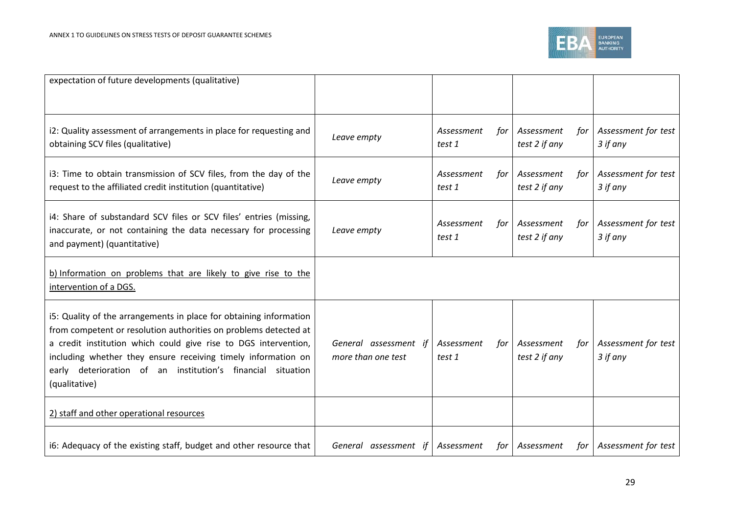

| expectation of future developments (qualitative)                                                                                                                                                                                                                                                                                                              |                                             |                             |                                    |                                 |
|---------------------------------------------------------------------------------------------------------------------------------------------------------------------------------------------------------------------------------------------------------------------------------------------------------------------------------------------------------------|---------------------------------------------|-----------------------------|------------------------------------|---------------------------------|
| i2: Quality assessment of arrangements in place for requesting and<br>obtaining SCV files (qualitative)                                                                                                                                                                                                                                                       | Leave empty                                 | Assessment<br>for<br>test 1 | Assessment<br>for<br>test 2 if any | Assessment for test<br>3 if any |
| i3: Time to obtain transmission of SCV files, from the day of the<br>request to the affiliated credit institution (quantitative)                                                                                                                                                                                                                              | Leave empty                                 | Assessment<br>for<br>test 1 | Assessment<br>tor<br>test 2 if any | Assessment for test<br>3 if any |
| i4: Share of substandard SCV files or SCV files' entries (missing,<br>inaccurate, or not containing the data necessary for processing<br>and payment) (quantitative)                                                                                                                                                                                          | Leave empty                                 | Assessment<br>for<br>test 1 | Assessment<br>for<br>test 2 if any | Assessment for test<br>3 if any |
| b) Information on problems that are likely to give rise to the<br>intervention of a DGS.                                                                                                                                                                                                                                                                      |                                             |                             |                                    |                                 |
| i5: Quality of the arrangements in place for obtaining information<br>from competent or resolution authorities on problems detected at<br>a credit institution which could give rise to DGS intervention,<br>including whether they ensure receiving timely information on<br>early deterioration of an institution's financial<br>situation<br>(qualitative) | General assessment if<br>more than one test | Assessment<br>for<br>test 1 | Assessment<br>tor<br>test 2 if any | Assessment for test<br>3 if any |
| 2) staff and other operational resources                                                                                                                                                                                                                                                                                                                      |                                             |                             |                                    |                                 |
| i6: Adequacy of the existing staff, budget and other resource that                                                                                                                                                                                                                                                                                            | General assessment if                       | Assessment<br>for           | Assessment<br>for                  | Assessment for test             |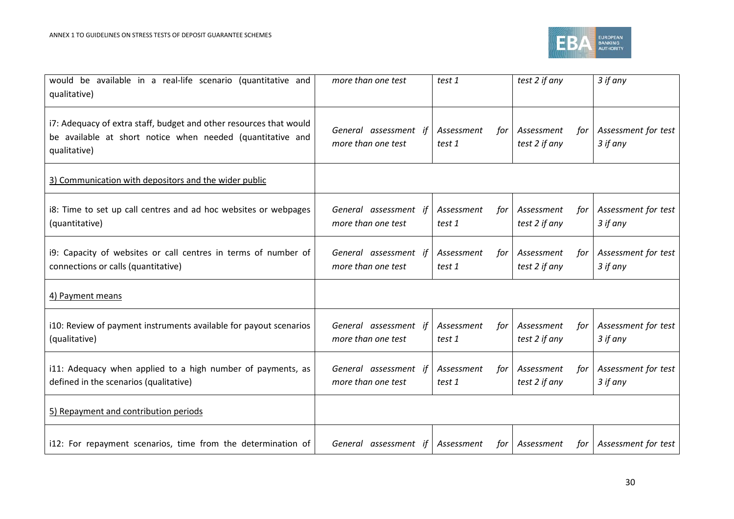

| would be available in a real-life scenario (quantitative and<br>qualitative)                                                                     | more than one test                          | test 1                      | test 2 if any                      | 3 if any                        |
|--------------------------------------------------------------------------------------------------------------------------------------------------|---------------------------------------------|-----------------------------|------------------------------------|---------------------------------|
| i7: Adequacy of extra staff, budget and other resources that would<br>be available at short notice when needed (quantitative and<br>qualitative) | General assessment if<br>more than one test | Assessment<br>for<br>test 1 | Assessment<br>for<br>test 2 if any | Assessment for test<br>3 if any |
| 3) Communication with depositors and the wider public                                                                                            |                                             |                             |                                    |                                 |
| i8: Time to set up call centres and ad hoc websites or webpages<br>(quantitative)                                                                | General assessment if<br>more than one test | Assessment<br>for<br>test 1 | Assessment<br>tor<br>test 2 if any | Assessment for test<br>3 if any |
| i9: Capacity of websites or call centres in terms of number of<br>connections or calls (quantitative)                                            | General assessment if<br>more than one test | Assessment<br>for<br>test 1 | Assessment<br>for<br>test 2 if any | Assessment for test<br>3 if any |
| 4) Payment means                                                                                                                                 |                                             |                             |                                    |                                 |
| i10: Review of payment instruments available for payout scenarios<br>(qualitative)                                                               | General assessment if<br>more than one test | Assessment<br>for<br>test 1 | Assessment<br>tor<br>test 2 if any | Assessment for test<br>3 if any |
| i11: Adequacy when applied to a high number of payments, as<br>defined in the scenarios (qualitative)                                            | General assessment if<br>more than one test | Assessment<br>for<br>test 1 | Assessment<br>for<br>test 2 if any | Assessment for test<br>3 if any |
| 5) Repayment and contribution periods                                                                                                            |                                             |                             |                                    |                                 |
| i12: For repayment scenarios, time from the determination of                                                                                     | General assessment if                       | Assessment<br>for           | Assessment<br>for                  | Assessment for test             |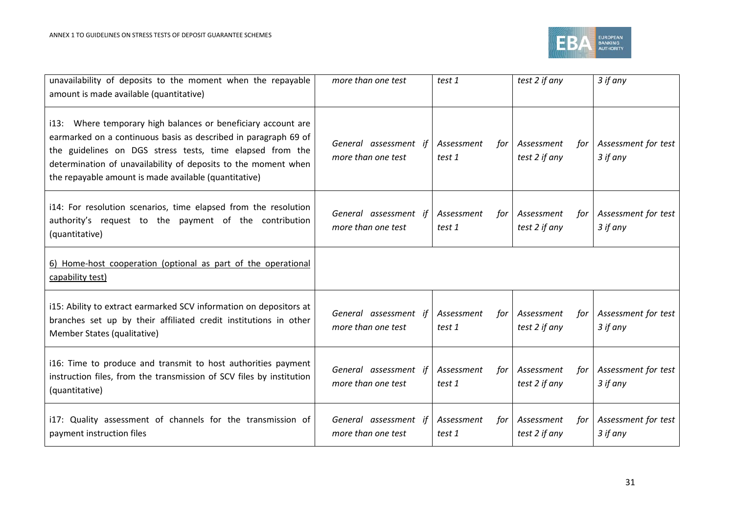

| unavailability of deposits to the moment when the repayable<br>amount is made available (quantitative)                                                                                                                                                                                                                   | more than one test                          | test 1                      | test 2 if any                      | 3 if any                        |
|--------------------------------------------------------------------------------------------------------------------------------------------------------------------------------------------------------------------------------------------------------------------------------------------------------------------------|---------------------------------------------|-----------------------------|------------------------------------|---------------------------------|
| i13: Where temporary high balances or beneficiary account are<br>earmarked on a continuous basis as described in paragraph 69 of<br>the guidelines on DGS stress tests, time elapsed from the<br>determination of unavailability of deposits to the moment when<br>the repayable amount is made available (quantitative) | General assessment if<br>more than one test | Assessment<br>for<br>test 1 | Assessment<br>tor<br>test 2 if any | Assessment for test<br>3 if any |
| i14: For resolution scenarios, time elapsed from the resolution<br>authority's request to the payment of the contribution<br>(quantitative)                                                                                                                                                                              | General assessment if<br>more than one test | Assessment<br>for<br>test 1 | Assessment<br>tor<br>test 2 if any | Assessment for test<br>3 if any |
| 6) Home-host cooperation (optional as part of the operational<br>capability test)                                                                                                                                                                                                                                        |                                             |                             |                                    |                                 |
| i15: Ability to extract earmarked SCV information on depositors at<br>branches set up by their affiliated credit institutions in other<br>Member States (qualitative)                                                                                                                                                    | General assessment if<br>more than one test | Assessment<br>for<br>test 1 | Assessment<br>for<br>test 2 if any | Assessment for test<br>3 if any |
| i16: Time to produce and transmit to host authorities payment<br>instruction files, from the transmission of SCV files by institution<br>(quantitative)                                                                                                                                                                  | General assessment if<br>more than one test | Assessment<br>for<br>test 1 | Assessment<br>tor<br>test 2 if any | Assessment for test<br>3 if any |
| i17: Quality assessment of channels for the transmission of<br>payment instruction files                                                                                                                                                                                                                                 | General assessment if<br>more than one test | Assessment<br>for<br>test 1 | Assessment<br>for<br>test 2 if any | Assessment for test<br>3 if any |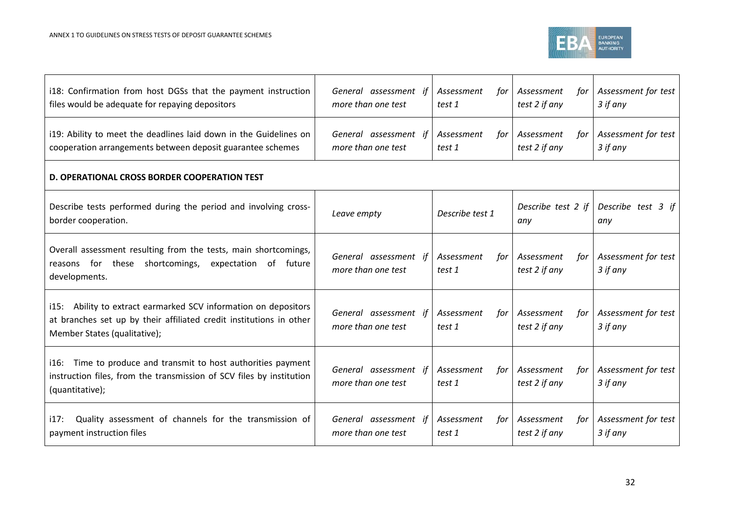

| i18: Confirmation from host DGSs that the payment instruction<br>files would be adequate for repaying depositors                                                       | General assessment if<br>more than one test | Assessment<br>for<br>test 1 | Assessment<br>tor<br>test 2 if any | Assessment for test<br>3 if any |
|------------------------------------------------------------------------------------------------------------------------------------------------------------------------|---------------------------------------------|-----------------------------|------------------------------------|---------------------------------|
| i19: Ability to meet the deadlines laid down in the Guidelines on<br>cooperation arrangements between deposit guarantee schemes                                        | General assessment if<br>more than one test | Assessment<br>tor<br>test 1 | Assessment<br>tor<br>test 2 if any | Assessment for test<br>3 if any |
| D. OPERATIONAL CROSS BORDER COOPERATION TEST                                                                                                                           |                                             |                             |                                    |                                 |
| Describe tests performed during the period and involving cross-<br>border cooperation.                                                                                 | Leave empty                                 | Describe test 1             | Describe test 2 if<br>any          | Describe test 3 if<br>any       |
| Overall assessment resulting from the tests, main shortcomings,<br>reasons for these shortcomings,<br>expectation of future<br>developments.                           | General assessment if<br>more than one test | Assessment<br>for<br>test 1 | Assessment<br>for<br>test 2 if any | Assessment for test<br>3 if any |
| i15: Ability to extract earmarked SCV information on depositors<br>at branches set up by their affiliated credit institutions in other<br>Member States (qualitative); | General assessment if<br>more than one test | Assessment<br>for<br>test 1 | Assessment<br>for<br>test 2 if any | Assessment for test<br>3 if any |
| i16: Time to produce and transmit to host authorities payment<br>instruction files, from the transmission of SCV files by institution<br>(quantitative);               | General assessment if<br>more than one test | Assessment<br>for<br>test 1 | Assessment<br>tor<br>test 2 if any | Assessment for test<br>3 if any |
| Quality assessment of channels for the transmission of<br>i17:<br>payment instruction files                                                                            | General assessment if<br>more than one test | Assessment<br>for<br>test 1 | Assessment<br>tor<br>test 2 if any | Assessment for test<br>3 if any |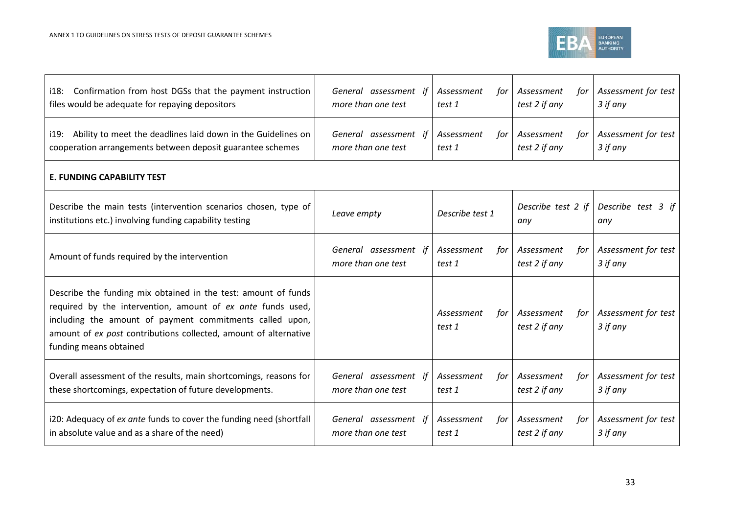

| Confirmation from host DGSs that the payment instruction<br>i18:<br>files would be adequate for repaying depositors                                                                                                                                                                     | General assessment if<br>more than one test | Assessment<br>for<br>test 1 | Assessment<br>tor<br>test 2 if any | Assessment for test<br>3 if any |
|-----------------------------------------------------------------------------------------------------------------------------------------------------------------------------------------------------------------------------------------------------------------------------------------|---------------------------------------------|-----------------------------|------------------------------------|---------------------------------|
| i19: Ability to meet the deadlines laid down in the Guidelines on<br>cooperation arrangements between deposit guarantee schemes                                                                                                                                                         | General assessment if<br>more than one test | Assessment<br>tor<br>test 1 | Assessment<br>tor<br>test 2 if any | Assessment for test<br>3 if any |
| <b>E. FUNDING CAPABILITY TEST</b>                                                                                                                                                                                                                                                       |                                             |                             |                                    |                                 |
| Describe the main tests (intervention scenarios chosen, type of<br>institutions etc.) involving funding capability testing                                                                                                                                                              | Leave empty                                 | Describe test 1             | Describe test 2 if<br>any          | Describe test 3 if<br>any       |
| Amount of funds required by the intervention                                                                                                                                                                                                                                            | General assessment if<br>more than one test | Assessment<br>for<br>test 1 | Assessment<br>tor<br>test 2 if any | Assessment for test<br>3 if any |
| Describe the funding mix obtained in the test: amount of funds<br>required by the intervention, amount of ex ante funds used,<br>including the amount of payment commitments called upon,<br>amount of ex post contributions collected, amount of alternative<br>funding means obtained |                                             | Assessment<br>for<br>test 1 | Assessment<br>tor<br>test 2 if any | Assessment for test<br>3 if any |
| Overall assessment of the results, main shortcomings, reasons for<br>these shortcomings, expectation of future developments.                                                                                                                                                            | General assessment if<br>more than one test | Assessment<br>for<br>test 1 | Assessment<br>for<br>test 2 if any | Assessment for test<br>3 if any |
| i20: Adequacy of ex ante funds to cover the funding need (shortfall<br>in absolute value and as a share of the need)                                                                                                                                                                    | General assessment if<br>more than one test | Assessment<br>for<br>test 1 | Assessment<br>tor<br>test 2 if any | Assessment for test<br>3 if any |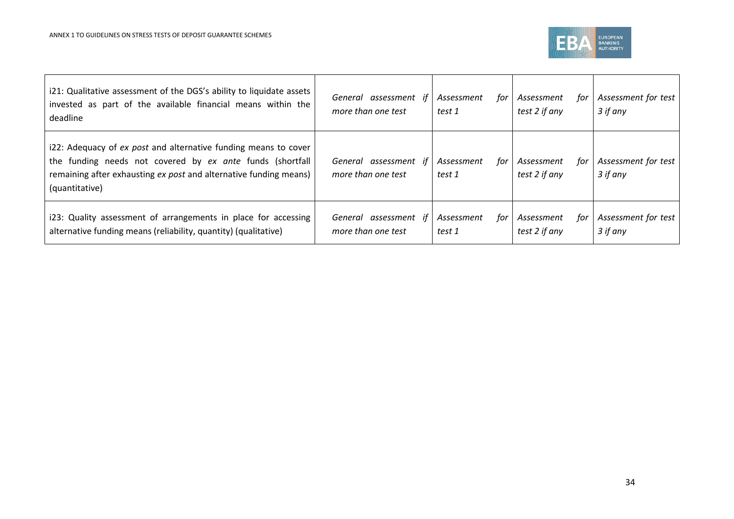

| i21: Qualitative assessment of the DGS's ability to liquidate assets<br>invested as part of the available financial means within the<br>deadline                                                                    | assessment if<br>General<br>more than one test | Assessment<br>tor<br>test 1 | Assessment<br>tor<br>test 2 if any | Assessment for test<br>3 if any |
|---------------------------------------------------------------------------------------------------------------------------------------------------------------------------------------------------------------------|------------------------------------------------|-----------------------------|------------------------------------|---------------------------------|
| i22: Adequacy of ex post and alternative funding means to cover<br>the funding needs not covered by ex ante funds (shortfall<br>remaining after exhausting ex post and alternative funding means)<br>(quantitative) | assessment<br>General<br>more than one test    | Assessment<br>tor<br>test 1 | Assessment<br>tor<br>test 2 if any | Assessment for test<br>3 if any |
| i23: Quality assessment of arrangements in place for accessing<br>alternative funding means (reliability, quantity) (qualitative)                                                                                   | General assessment if<br>more than one test    | Assessment<br>for<br>test 1 | Assessment<br>for<br>test 2 if any | Assessment for test<br>3 if any |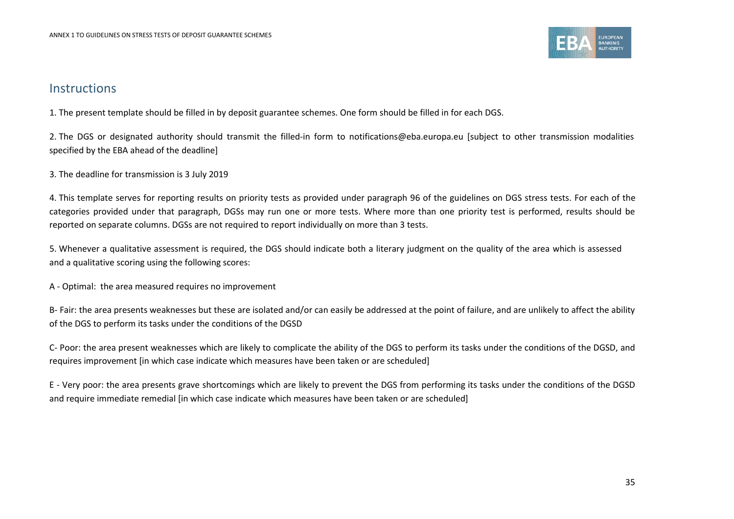

### **Instructions**

1. The present template should be filled in by deposit guarantee schemes. One form should be filled in for each DGS.

2. The DGS or designated authority should transmit the filled-in form to notifications@eba.europa.eu [subject to other transmission modalities specified by the EBA ahead of the deadline]

3. The deadline for transmission is 3 July 2019

4. This template serves for reporting results on priority tests as provided under paragraph 96 of the guidelines on DGS stress tests. For each of the categories provided under that paragraph, DGSs may run one or more tests. Where more than one priority test is performed, results should be reported on separate columns. DGSs are not required to report individually on more than 3 tests.

5. Whenever a qualitative assessment is required, the DGS should indicate both a literary judgment on the quality of the area which is assessed and a qualitative scoring using the following scores:

A - Optimal: the area measured requires no improvement

B- Fair: the area presents weaknesses but these are isolated and/or can easily be addressed at the point of failure, and are unlikely to affect the ability of the DGS to perform its tasks under the conditions of the DGSD

C- Poor: the area present weaknesses which are likely to complicate the ability of the DGS to perform its tasks under the conditions of the DGSD, and requires improvement [in which case indicate which measures have been taken or are scheduled]

E - Very poor: the area presents grave shortcomings which are likely to prevent the DGS from performing its tasks under the conditions of the DGSD and require immediate remedial [in which case indicate which measures have been taken or are scheduled]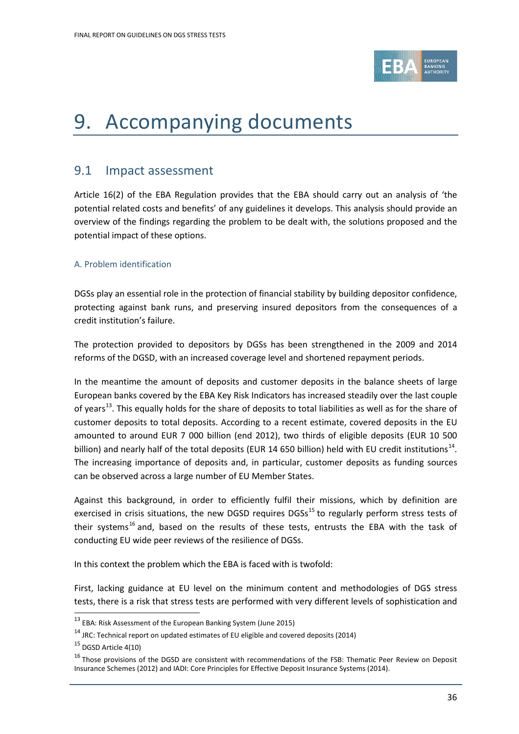

# <span id="page-35-0"></span>9. Accompanying documents

### <span id="page-35-1"></span>9.1 Impact assessment

Article 16(2) of the EBA Regulation provides that the EBA should carry out an analysis of 'the potential related costs and benefits' of any guidelines it develops. This analysis should provide an overview of the findings regarding the problem to be dealt with, the solutions proposed and the potential impact of these options.

### A. Problem identification

DGSs play an essential role in the protection of financial stability by building depositor confidence, protecting against bank runs, and preserving insured depositors from the consequences of a credit institution's failure.

The protection provided to depositors by DGSs has been strengthened in the 2009 and 2014 reforms of the DGSD, with an increased coverage level and shortened repayment periods.

In the meantime the amount of deposits and customer deposits in the balance sheets of large European banks covered by the EBA Key Risk Indicators has increased steadily over the last couple of years<sup>[13](#page-35-2)</sup>. This equally holds for the share of deposits to total liabilities as well as for the share of customer deposits to total deposits. According to a recent estimate, covered deposits in the EU amounted to around EUR 7 000 billion (end 2012), two thirds of eligible deposits (EUR 10 500 billion) and nearly half of the total deposits (EUR [14](#page-35-3) 650 billion) held with EU credit institutions<sup>14</sup>. The increasing importance of deposits and, in particular, customer deposits as funding sources can be observed across a large number of EU Member States.

Against this background, in order to efficiently fulfil their missions, which by definition are exercised in crisis situations, the new DGSD requires DGSs<sup>[15](#page-35-4)</sup> to regularly perform stress tests of their systems<sup>[16](#page-35-5)</sup> and, based on the results of these tests, entrusts the EBA with the task of conducting EU wide peer reviews of the resilience of DGSs.

In this context the problem which the EBA is faced with is twofold:

First, lacking guidance at EU level on the minimum content and methodologies of DGS stress tests, there is a risk that stress tests are performed with very different levels of sophistication and

 $\overline{a}$ 

<span id="page-35-2"></span><sup>13</sup> EBA: Risk Assessment of the European Banking System (June 2015)

<span id="page-35-3"></span> $14$  JRC: Technical report on updated estimates of EU eligible and covered deposits (2014)

<span id="page-35-4"></span><sup>15</sup> DGSD Article 4(10)

<span id="page-35-5"></span><sup>&</sup>lt;sup>16</sup> Those provisions of the DGSD are consistent with recommendations of the FSB: Thematic Peer Review on Deposit Insurance Schemes (2012) and IADI: Core Principles for Effective Deposit Insurance Systems (2014).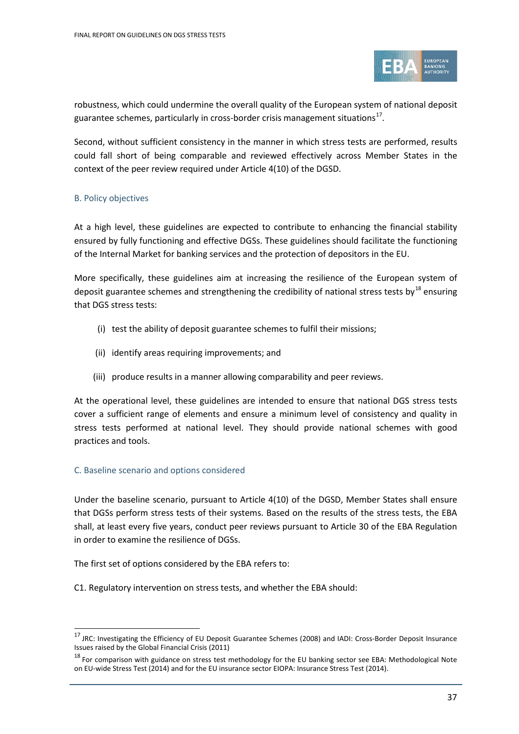

robustness, which could undermine the overall quality of the European system of national deposit guarantee schemes, particularly in cross-border crisis management situations<sup>1</sup>'.

Second, without sufficient consistency in the manner in which stress tests are performed, results could fall short of being comparable and reviewed effectively across Member States in the context of the peer review required under Article 4(10) of the DGSD.

### B. Policy objectives

At a high level, these guidelines are expected to contribute to enhancing the financial stability ensured by fully functioning and effective DGSs. These guidelines should facilitate the functioning of the Internal Market for banking services and the protection of depositors in the EU.

More specifically, these guidelines aim at increasing the resilience of the European system of deposit guarantee schemes and strengthening the credibility of national stress tests by<sup>[18](#page-36-1)</sup> ensuring that DGS stress tests:

- (i) test the ability of deposit guarantee schemes to fulfil their missions;
- (ii) identify areas requiring improvements; and
- (iii) produce results in a manner allowing comparability and peer reviews.

At the operational level, these guidelines are intended to ensure that national DGS stress tests cover a sufficient range of elements and ensure a minimum level of consistency and quality in stress tests performed at national level. They should provide national schemes with good practices and tools.

### C. Baseline scenario and options considered

 $\overline{a}$ 

Under the baseline scenario, pursuant to Article 4(10) of the DGSD, Member States shall ensure that DGSs perform stress tests of their systems. Based on the results of the stress tests, the EBA shall, at least every five years, conduct peer reviews pursuant to Article 30 of the EBA Regulation in order to examine the resilience of DGSs.

The first set of options considered by the EBA refers to:

C1. Regulatory intervention on stress tests, and whether the EBA should:

<span id="page-36-0"></span><sup>&</sup>lt;sup>17</sup> JRC: Investigating the Efficiency of EU Deposit Guarantee Schemes (2008) and IADI: Cross-Border Deposit Insurance Issues raised by the Global Financial Crisis (2011)

<span id="page-36-1"></span><sup>&</sup>lt;sup>18</sup> For comparison with guidance on stress test methodology for the EU banking sector see EBA: Methodological Note on EU-wide Stress Test (2014) and for the EU insurance sector EIOPA: Insurance Stress Test (2014).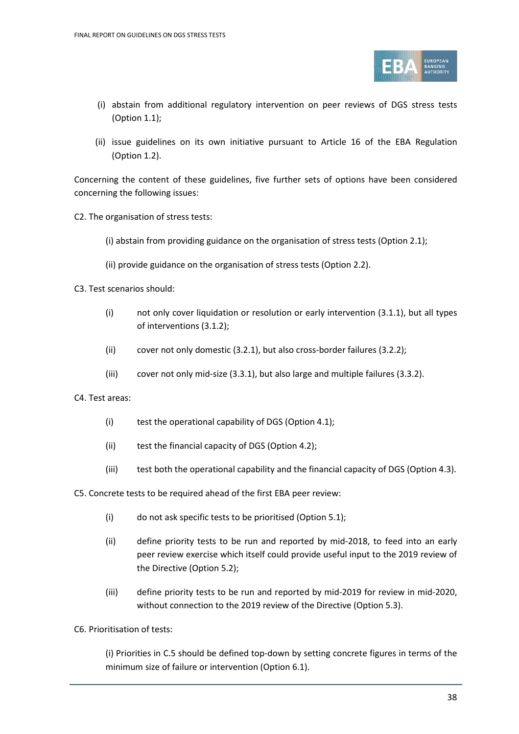

- (i) abstain from additional regulatory intervention on peer reviews of DGS stress tests (Option 1.1);
- (ii) issue guidelines on its own initiative pursuant to Article 16 of the EBA Regulation (Option 1.2).

Concerning the content of these guidelines, five further sets of options have been considered concerning the following issues:

C2. The organisation of stress tests:

(i) abstain from providing guidance on the organisation of stress tests (Option 2.1);

- (ii) provide guidance on the organisation of stress tests (Option 2.2).
- C3. Test scenarios should:
	- (i) not only cover liquidation or resolution or early intervention (3.1.1), but all types of interventions (3.1.2);
	- (ii) cover not only domestic (3.2.1), but also cross-border failures (3.2.2);
	- (iii) cover not only mid-size (3.3.1), but also large and multiple failures (3.3.2).

C4. Test areas:

- (i) test the operational capability of DGS (Option 4.1);
- (ii) test the financial capacity of DGS (Option 4.2);
- (iii) test both the operational capability and the financial capacity of DGS (Option 4.3).

C5. Concrete tests to be required ahead of the first EBA peer review:

- (i) do not ask specific tests to be prioritised (Option 5.1);
- (ii) define priority tests to be run and reported by mid-2018, to feed into an early peer review exercise which itself could provide useful input to the 2019 review of the Directive (Option 5.2);
- (iii) define priority tests to be run and reported by mid-2019 for review in mid-2020, without connection to the 2019 review of the Directive (Option 5.3).
- C6. Prioritisation of tests:

(i) Priorities in C.5 should be defined top-down by setting concrete figures in terms of the minimum size of failure or intervention (Option 6.1).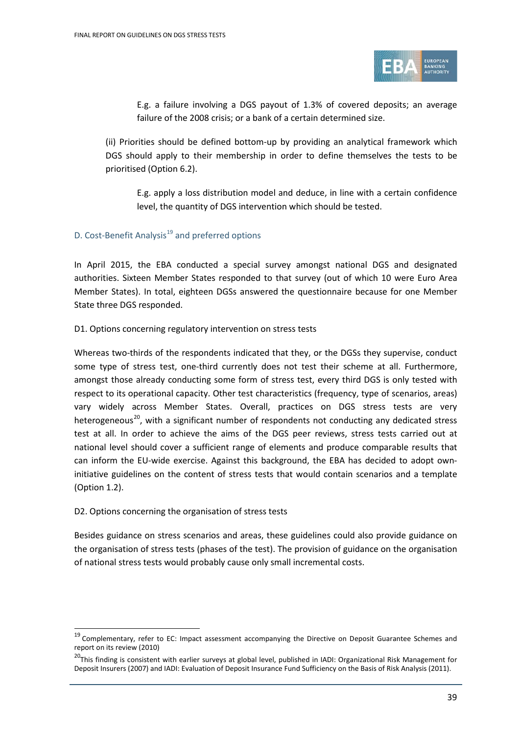

E.g. a failure involving a DGS payout of 1.3% of covered deposits; an average failure of the 2008 crisis; or a bank of a certain determined size.

(ii) Priorities should be defined bottom-up by providing an analytical framework which DGS should apply to their membership in order to define themselves the tests to be prioritised (Option 6.2).

E.g. apply a loss distribution model and deduce, in line with a certain confidence level, the quantity of DGS intervention which should be tested.

### D. Cost-Benefit Analysis<sup>[19](#page-38-0)</sup> and preferred options

In April 2015, the EBA conducted a special survey amongst national DGS and designated authorities. Sixteen Member States responded to that survey (out of which 10 were Euro Area Member States). In total, eighteen DGSs answered the questionnaire because for one Member State three DGS responded.

### D1. Options concerning regulatory intervention on stress tests

Whereas two-thirds of the respondents indicated that they, or the DGSs they supervise, conduct some type of stress test, one-third currently does not test their scheme at all. Furthermore, amongst those already conducting some form of stress test, every third DGS is only tested with respect to its operational capacity. Other test characteristics (frequency, type of scenarios, areas) vary widely across Member States. Overall, practices on DGS stress tests are very heterogeneous<sup>[20](#page-38-1)</sup>, with a significant number of respondents not conducting any dedicated stress test at all. In order to achieve the aims of the DGS peer reviews, stress tests carried out at national level should cover a sufficient range of elements and produce comparable results that can inform the EU-wide exercise. Against this background, the EBA has decided to adopt owninitiative guidelines on the content of stress tests that would contain scenarios and a template (Option 1.2).

### D2. Options concerning the organisation of stress tests

 $\overline{a}$ 

Besides guidance on stress scenarios and areas, these guidelines could also provide guidance on the organisation of stress tests (phases of the test). The provision of guidance on the organisation of national stress tests would probably cause only small incremental costs.

<span id="page-38-0"></span><sup>&</sup>lt;sup>19</sup> Complementary, refer to EC: Impact assessment accompanying the Directive on Deposit Guarantee Schemes and report on its review (2010)

<span id="page-38-1"></span><sup>&</sup>lt;sup>20</sup>This finding is consistent with earlier surveys at global level, published in IADI: Organizational Risk Management for Deposit Insurers (2007) and IADI: Evaluation of Deposit Insurance Fund Sufficiency on the Basis of Risk Analysis (2011).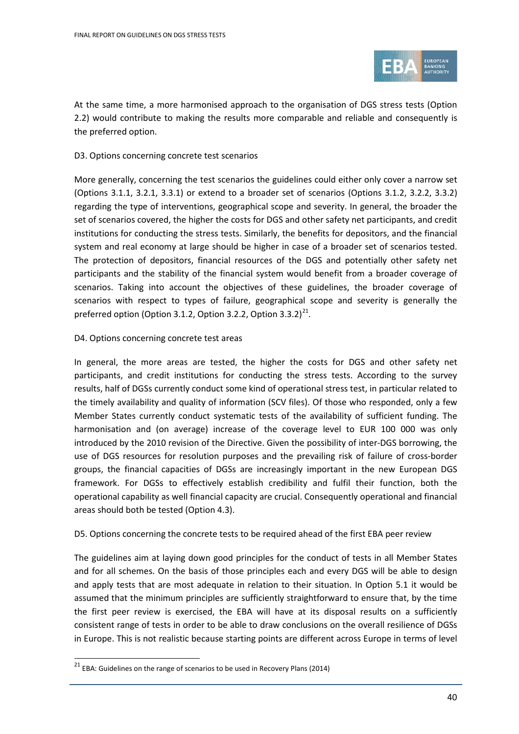

At the same time, a more harmonised approach to the organisation of DGS stress tests (Option 2.2) would contribute to making the results more comparable and reliable and consequently is the preferred option.

#### D3. Options concerning concrete test scenarios

More generally, concerning the test scenarios the guidelines could either only cover a narrow set (Options 3.1.1, 3.2.1, 3.3.1) or extend to a broader set of scenarios (Options 3.1.2, 3.2.2, 3.3.2) regarding the type of interventions, geographical scope and severity. In general, the broader the set of scenarios covered, the higher the costs for DGS and other safety net participants, and credit institutions for conducting the stress tests. Similarly, the benefits for depositors, and the financial system and real economy at large should be higher in case of a broader set of scenarios tested. The protection of depositors, financial resources of the DGS and potentially other safety net participants and the stability of the financial system would benefit from a broader coverage of scenarios. Taking into account the objectives of these guidelines, the broader coverage of scenarios with respect to types of failure, geographical scope and severity is generally the preferred option (Option 3.1.2, Option 3.2.2, Option 3.3.2) $^{21}$ .

#### D4. Options concerning concrete test areas

In general, the more areas are tested, the higher the costs for DGS and other safety net participants, and credit institutions for conducting the stress tests. According to the survey results, half of DGSs currently conduct some kind of operational stress test, in particular related to the timely availability and quality of information (SCV files). Of those who responded, only a few Member States currently conduct systematic tests of the availability of sufficient funding. The harmonisation and (on average) increase of the coverage level to EUR 100 000 was only introduced by the 2010 revision of the Directive. Given the possibility of inter-DGS borrowing, the use of DGS resources for resolution purposes and the prevailing risk of failure of cross-border groups, the financial capacities of DGSs are increasingly important in the new European DGS framework. For DGSs to effectively establish credibility and fulfil their function, both the operational capability as well financial capacity are crucial. Consequently operational and financial areas should both be tested (Option 4.3).

#### D5. Options concerning the concrete tests to be required ahead of the first EBA peer review

The guidelines aim at laying down good principles for the conduct of tests in all Member States and for all schemes. On the basis of those principles each and every DGS will be able to design and apply tests that are most adequate in relation to their situation. In Option 5.1 it would be assumed that the minimum principles are sufficiently straightforward to ensure that, by the time the first peer review is exercised, the EBA will have at its disposal results on a sufficiently consistent range of tests in order to be able to draw conclusions on the overall resilience of DGSs in Europe. This is not realistic because starting points are different across Europe in terms of level

 $\overline{a}$ 

<span id="page-39-0"></span> $21$  EBA: Guidelines on the range of scenarios to be used in Recovery Plans (2014)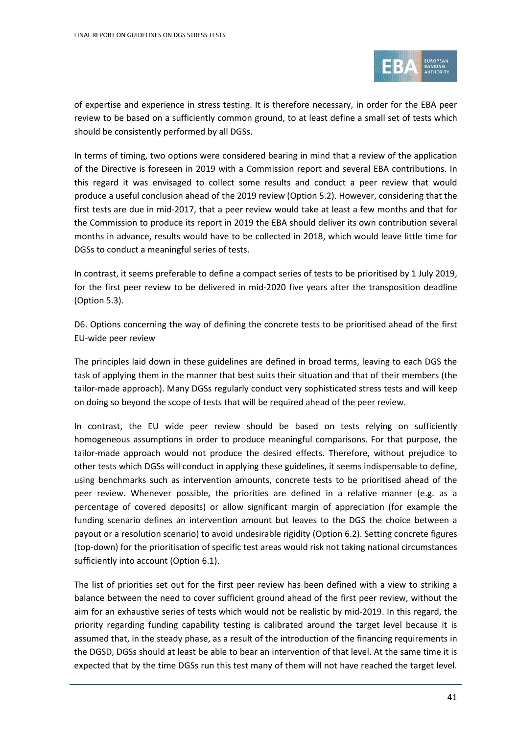

of expertise and experience in stress testing. It is therefore necessary, in order for the EBA peer review to be based on a sufficiently common ground, to at least define a small set of tests which should be consistently performed by all DGSs.

In terms of timing, two options were considered bearing in mind that a review of the application of the Directive is foreseen in 2019 with a Commission report and several EBA contributions. In this regard it was envisaged to collect some results and conduct a peer review that would produce a useful conclusion ahead of the 2019 review (Option 5.2). However, considering that the first tests are due in mid-2017, that a peer review would take at least a few months and that for the Commission to produce its report in 2019 the EBA should deliver its own contribution several months in advance, results would have to be collected in 2018, which would leave little time for DGSs to conduct a meaningful series of tests.

In contrast, it seems preferable to define a compact series of tests to be prioritised by 1 July 2019, for the first peer review to be delivered in mid-2020 five years after the transposition deadline (Option 5.3).

D6. Options concerning the way of defining the concrete tests to be prioritised ahead of the first EU-wide peer review

The principles laid down in these guidelines are defined in broad terms, leaving to each DGS the task of applying them in the manner that best suits their situation and that of their members (the tailor-made approach). Many DGSs regularly conduct very sophisticated stress tests and will keep on doing so beyond the scope of tests that will be required ahead of the peer review.

In contrast, the EU wide peer review should be based on tests relying on sufficiently homogeneous assumptions in order to produce meaningful comparisons. For that purpose, the tailor-made approach would not produce the desired effects. Therefore, without prejudice to other tests which DGSs will conduct in applying these guidelines, it seems indispensable to define, using benchmarks such as intervention amounts, concrete tests to be prioritised ahead of the peer review. Whenever possible, the priorities are defined in a relative manner (e.g. as a percentage of covered deposits) or allow significant margin of appreciation (for example the funding scenario defines an intervention amount but leaves to the DGS the choice between a payout or a resolution scenario) to avoid undesirable rigidity (Option 6.2). Setting concrete figures (top-down) for the prioritisation of specific test areas would risk not taking national circumstances sufficiently into account (Option 6.1).

The list of priorities set out for the first peer review has been defined with a view to striking a balance between the need to cover sufficient ground ahead of the first peer review, without the aim for an exhaustive series of tests which would not be realistic by mid-2019. In this regard, the priority regarding funding capability testing is calibrated around the target level because it is assumed that, in the steady phase, as a result of the introduction of the financing requirements in the DGSD, DGSs should at least be able to bear an intervention of that level. At the same time it is expected that by the time DGSs run this test many of them will not have reached the target level.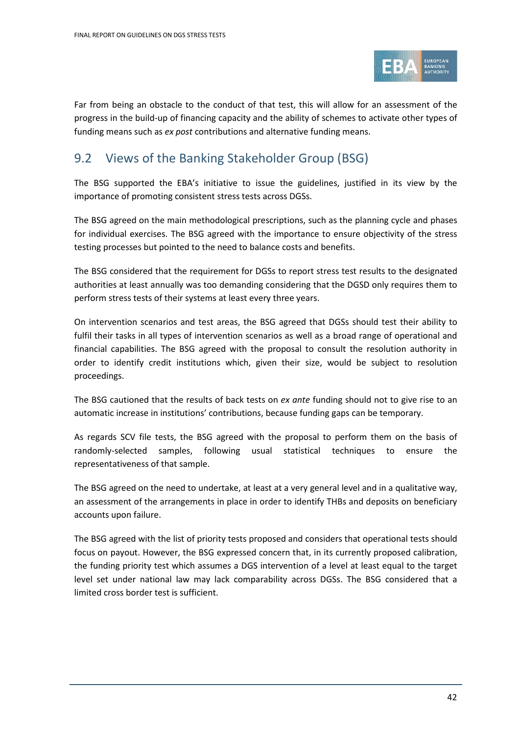

Far from being an obstacle to the conduct of that test, this will allow for an assessment of the progress in the build-up of financing capacity and the ability of schemes to activate other types of funding means such as *ex post* contributions and alternative funding means.

## <span id="page-41-0"></span>9.2 Views of the Banking Stakeholder Group (BSG)

The BSG supported the EBA's initiative to issue the guidelines, justified in its view by the importance of promoting consistent stress tests across DGSs.

The BSG agreed on the main methodological prescriptions, such as the planning cycle and phases for individual exercises. The BSG agreed with the importance to ensure objectivity of the stress testing processes but pointed to the need to balance costs and benefits.

The BSG considered that the requirement for DGSs to report stress test results to the designated authorities at least annually was too demanding considering that the DGSD only requires them to perform stress tests of their systems at least every three years.

On intervention scenarios and test areas, the BSG agreed that DGSs should test their ability to fulfil their tasks in all types of intervention scenarios as well as a broad range of operational and financial capabilities. The BSG agreed with the proposal to consult the resolution authority in order to identify credit institutions which, given their size, would be subject to resolution proceedings.

The BSG cautioned that the results of back tests on *ex ante* funding should not to give rise to an automatic increase in institutions' contributions, because funding gaps can be temporary.

As regards SCV file tests, the BSG agreed with the proposal to perform them on the basis of randomly-selected samples, following usual statistical techniques to ensure the representativeness of that sample.

The BSG agreed on the need to undertake, at least at a very general level and in a qualitative way, an assessment of the arrangements in place in order to identify THBs and deposits on beneficiary accounts upon failure.

The BSG agreed with the list of priority tests proposed and considers that operational tests should focus on payout. However, the BSG expressed concern that, in its currently proposed calibration, the funding priority test which assumes a DGS intervention of a level at least equal to the target level set under national law may lack comparability across DGSs. The BSG considered that a limited cross border test is sufficient.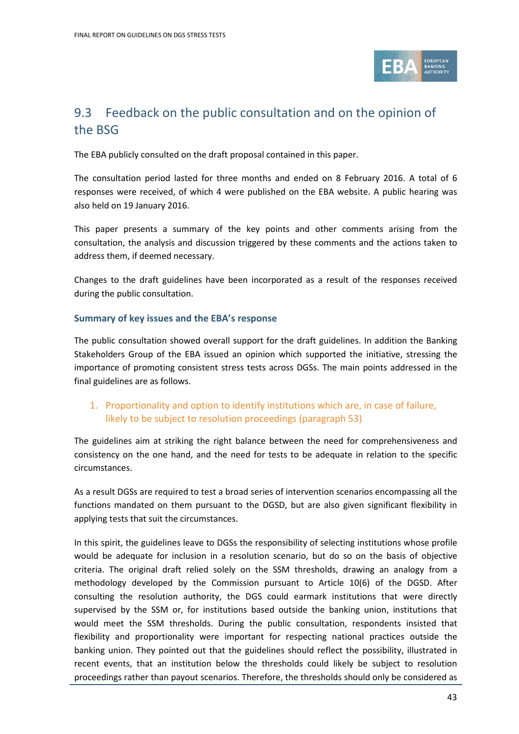

## <span id="page-42-0"></span>9.3 Feedback on the public consultation and on the opinion of the BSG

The EBA publicly consulted on the draft proposal contained in this paper.

The consultation period lasted for three months and ended on 8 February 2016. A total of 6 responses were received, of which 4 were published on the EBA website. A public hearing was also held on 19 January 2016.

This paper presents a summary of the key points and other comments arising from the consultation, the analysis and discussion triggered by these comments and the actions taken to address them, if deemed necessary.

Changes to the draft guidelines have been incorporated as a result of the responses received during the public consultation.

### **Summary of key issues and the EBA's response**

The public consultation showed overall support for the draft guidelines. In addition the Banking Stakeholders Group of the EBA issued an opinion which supported the initiative, stressing the importance of promoting consistent stress tests across DGSs. The main points addressed in the final guidelines are as follows.

### 1. Proportionality and option to identify institutions which are, in case of failure, likely to be subject to resolution proceedings (paragraph 53)

The guidelines aim at striking the right balance between the need for comprehensiveness and consistency on the one hand, and the need for tests to be adequate in relation to the specific circumstances.

As a result DGSs are required to test a broad series of intervention scenarios encompassing all the functions mandated on them pursuant to the DGSD, but are also given significant flexibility in applying tests that suit the circumstances.

In this spirit, the guidelines leave to DGSs the responsibility of selecting institutions whose profile would be adequate for inclusion in a resolution scenario, but do so on the basis of objective criteria. The original draft relied solely on the SSM thresholds, drawing an analogy from a methodology developed by the Commission pursuant to Article 10(6) of the DGSD. After consulting the resolution authority, the DGS could earmark institutions that were directly supervised by the SSM or, for institutions based outside the banking union, institutions that would meet the SSM thresholds. During the public consultation, respondents insisted that flexibility and proportionality were important for respecting national practices outside the banking union. They pointed out that the guidelines should reflect the possibility, illustrated in recent events, that an institution below the thresholds could likely be subject to resolution proceedings rather than payout scenarios. Therefore, the thresholds should only be considered as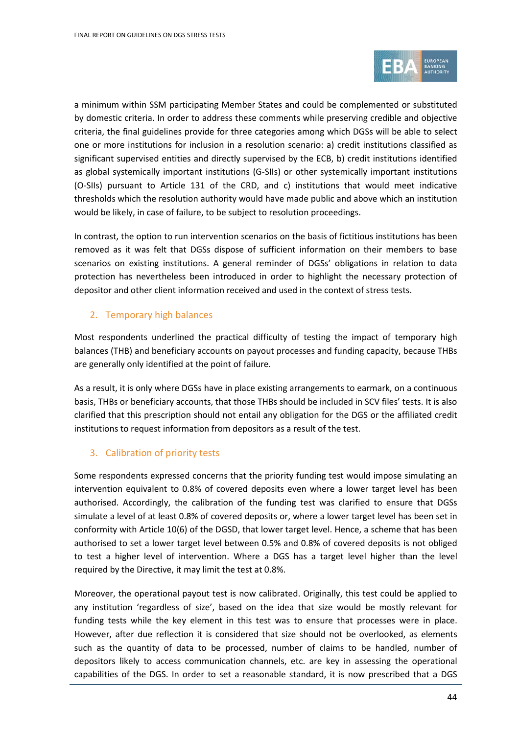

a minimum within SSM participating Member States and could be complemented or substituted by domestic criteria. In order to address these comments while preserving credible and objective criteria, the final guidelines provide for three categories among which DGSs will be able to select one or more institutions for inclusion in a resolution scenario: a) credit institutions classified as significant supervised entities and directly supervised by the ECB, b) credit institutions identified as global systemically important institutions (G-SIIs) or other systemically important institutions (O-SIIs) pursuant to Article 131 of the CRD, and c) institutions that would meet indicative thresholds which the resolution authority would have made public and above which an institution would be likely, in case of failure, to be subject to resolution proceedings.

In contrast, the option to run intervention scenarios on the basis of fictitious institutions has been removed as it was felt that DGSs dispose of sufficient information on their members to base scenarios on existing institutions. A general reminder of DGSs' obligations in relation to data protection has nevertheless been introduced in order to highlight the necessary protection of depositor and other client information received and used in the context of stress tests.

### 2. Temporary high balances

Most respondents underlined the practical difficulty of testing the impact of temporary high balances (THB) and beneficiary accounts on payout processes and funding capacity, because THBs are generally only identified at the point of failure.

As a result, it is only where DGSs have in place existing arrangements to earmark, on a continuous basis, THBs or beneficiary accounts, that those THBs should be included in SCV files' tests. It is also clarified that this prescription should not entail any obligation for the DGS or the affiliated credit institutions to request information from depositors as a result of the test.

### 3. Calibration of priority tests

Some respondents expressed concerns that the priority funding test would impose simulating an intervention equivalent to 0.8% of covered deposits even where a lower target level has been authorised. Accordingly, the calibration of the funding test was clarified to ensure that DGSs simulate a level of at least 0.8% of covered deposits or, where a lower target level has been set in conformity with Article 10(6) of the DGSD, that lower target level. Hence, a scheme that has been authorised to set a lower target level between 0.5% and 0.8% of covered deposits is not obliged to test a higher level of intervention. Where a DGS has a target level higher than the level required by the Directive, it may limit the test at 0.8%.

Moreover, the operational payout test is now calibrated. Originally, this test could be applied to any institution 'regardless of size', based on the idea that size would be mostly relevant for funding tests while the key element in this test was to ensure that processes were in place. However, after due reflection it is considered that size should not be overlooked, as elements such as the quantity of data to be processed, number of claims to be handled, number of depositors likely to access communication channels, etc. are key in assessing the operational capabilities of the DGS. In order to set a reasonable standard, it is now prescribed that a DGS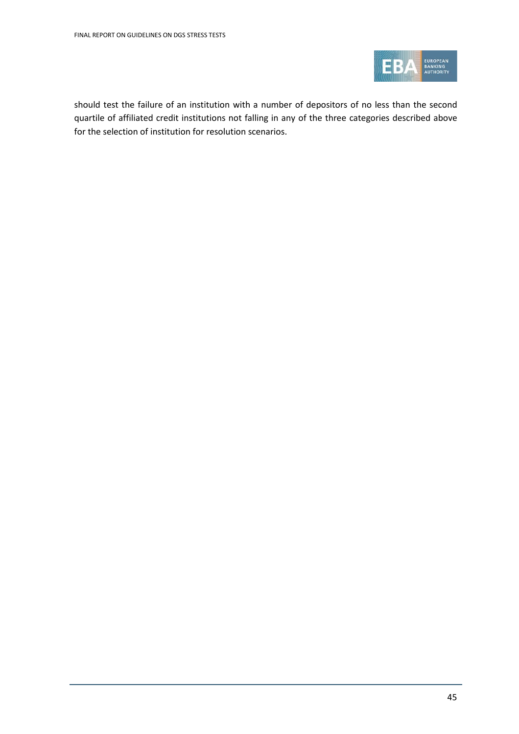

should test the failure of an institution with a number of depositors of no less than the second quartile of affiliated credit institutions not falling in any of the three categories described above for the selection of institution for resolution scenarios.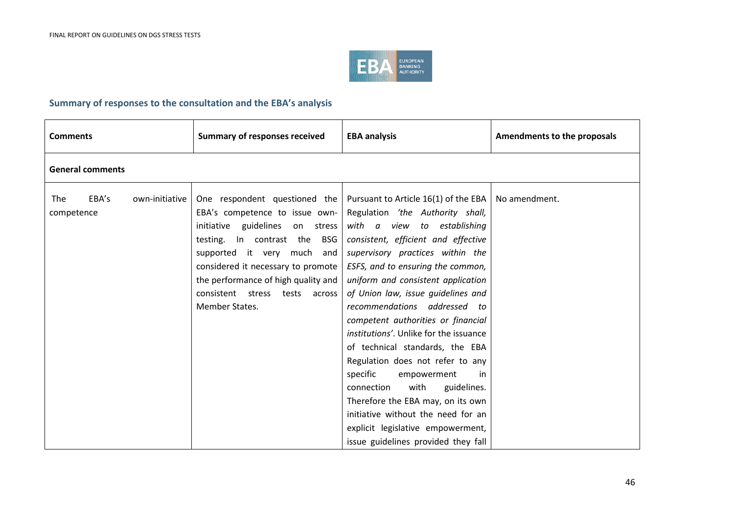

### **Summary of responses to the consultation and the EBA's analysis**

| <b>Comments</b>          |                         | <b>Summary of responses received</b>                                                                                                                                                                                                                                                                           | <b>EBA analysis</b>                                                                                                                                                                                                                                                                                                                                                                                                                                                                                                                                                                                                                                                                                                                           | Amendments to the proposals |  |  |  |  |
|--------------------------|-------------------------|----------------------------------------------------------------------------------------------------------------------------------------------------------------------------------------------------------------------------------------------------------------------------------------------------------------|-----------------------------------------------------------------------------------------------------------------------------------------------------------------------------------------------------------------------------------------------------------------------------------------------------------------------------------------------------------------------------------------------------------------------------------------------------------------------------------------------------------------------------------------------------------------------------------------------------------------------------------------------------------------------------------------------------------------------------------------------|-----------------------------|--|--|--|--|
|                          | <b>General comments</b> |                                                                                                                                                                                                                                                                                                                |                                                                                                                                                                                                                                                                                                                                                                                                                                                                                                                                                                                                                                                                                                                                               |                             |  |  |  |  |
| <b>The</b><br>competence | EBA's<br>own-initiative | One respondent questioned the<br>EBA's competence to issue own-<br>initiative guidelines on stress<br>In contrast the<br><b>BSG</b><br>testing.<br>supported it very much and<br>considered it necessary to promote<br>the performance of high quality and<br>consistent stress tests across<br>Member States. | Pursuant to Article 16(1) of the EBA $\vert$ No amendment.<br>Regulation 'the Authority shall,<br>with a view to establishing<br>consistent, efficient and effective<br>supervisory practices within the<br>ESFS, and to ensuring the common,<br>uniform and consistent application<br>of Union law, issue guidelines and<br>recommendations addressed to<br>competent authorities or financial<br>institutions'. Unlike for the issuance<br>of technical standards, the EBA<br>Regulation does not refer to any<br>specific<br>empowerment<br>in<br>with<br>guidelines.<br>connection<br>Therefore the EBA may, on its own<br>initiative without the need for an<br>explicit legislative empowerment,<br>issue guidelines provided they fall |                             |  |  |  |  |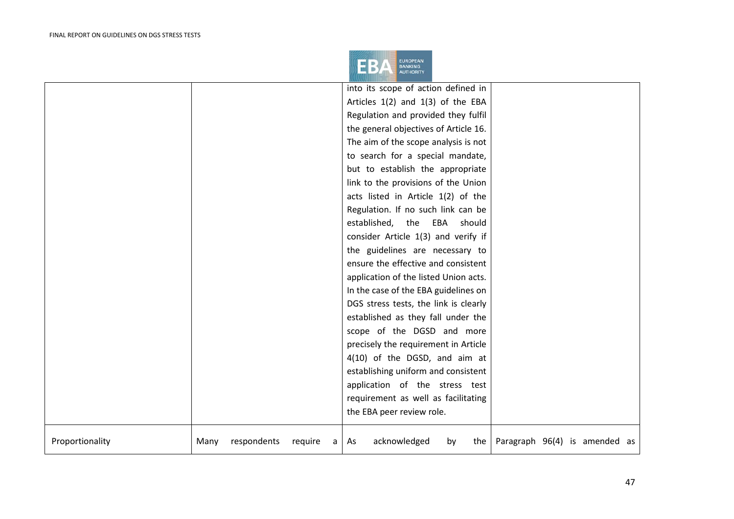

|                 |      |             |         | into its scope of action defined in                                         |
|-----------------|------|-------------|---------|-----------------------------------------------------------------------------|
|                 |      |             |         | Articles $1(2)$ and $1(3)$ of the EBA                                       |
|                 |      |             |         | Regulation and provided they fulfil                                         |
|                 |      |             |         | the general objectives of Article 16.                                       |
|                 |      |             |         | The aim of the scope analysis is not                                        |
|                 |      |             |         | to search for a special mandate,                                            |
|                 |      |             |         | but to establish the appropriate                                            |
|                 |      |             |         | link to the provisions of the Union                                         |
|                 |      |             |         | acts listed in Article 1(2) of the                                          |
|                 |      |             |         | Regulation. If no such link can be                                          |
|                 |      |             |         | established, the EBA<br>should                                              |
|                 |      |             |         | consider Article 1(3) and verify if                                         |
|                 |      |             |         | the guidelines are necessary to                                             |
|                 |      |             |         | ensure the effective and consistent                                         |
|                 |      |             |         | application of the listed Union acts.                                       |
|                 |      |             |         | In the case of the EBA guidelines on                                        |
|                 |      |             |         | DGS stress tests, the link is clearly                                       |
|                 |      |             |         | established as they fall under the                                          |
|                 |      |             |         | scope of the DGSD and more                                                  |
|                 |      |             |         | precisely the requirement in Article                                        |
|                 |      |             |         | 4(10) of the DGSD, and aim at                                               |
|                 |      |             |         | establishing uniform and consistent                                         |
|                 |      |             |         | application of the stress test                                              |
|                 |      |             |         | requirement as well as facilitating                                         |
|                 |      |             |         | the EBA peer review role.                                                   |
| Proportionality | Many | respondents | require | acknowledged<br>the $\sqrt{$ Paragraph 96(4) is amended as<br>by<br>As<br>a |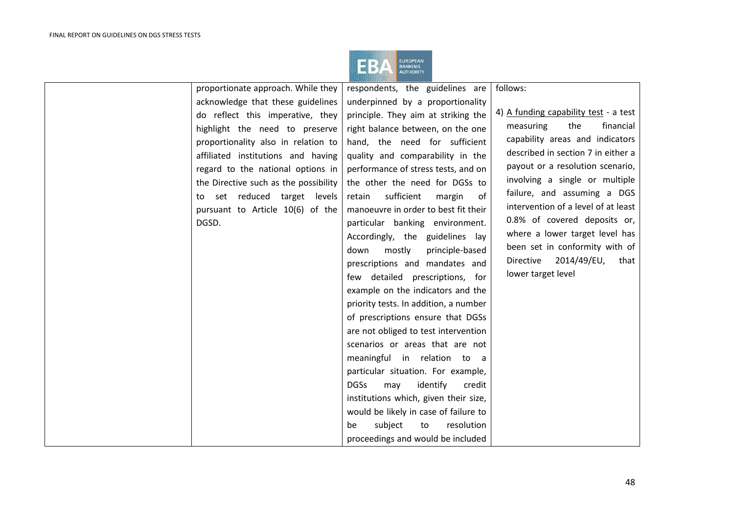

| proportionate approach. While they    | respondents, the guidelines are          | follows:                              |
|---------------------------------------|------------------------------------------|---------------------------------------|
| acknowledge that these guidelines     | underpinned by a proportionality         |                                       |
| do reflect this imperative, they      | principle. They aim at striking the      | 4) A funding capability test - a test |
| highlight the need to preserve        | right balance between, on the one        | the<br>financial<br>measuring         |
| proportionality also in relation to   | hand, the need for sufficient            | capability areas and indicators       |
| affiliated institutions and having    | quality and comparability in the         | described in section 7 in either a    |
| regard to the national options in     | performance of stress tests, and on      | payout or a resolution scenario,      |
| the Directive such as the possibility | the other the need for DGSs to           | involving a single or multiple        |
| to set reduced target levels          | sufficient<br>of<br>retain<br>margin     | failure, and assuming a DGS           |
| pursuant to Article 10(6) of the      | manoeuvre in order to best fit their     | intervention of a level of at least   |
| DGSD.                                 | particular banking environment.          | 0.8% of covered deposits or,          |
|                                       | Accordingly, the guidelines lay          | where a lower target level has        |
|                                       | mostly<br>principle-based<br>down        | been set in conformity with of        |
|                                       | prescriptions and mandates and           | Directive<br>2014/49/EU,<br>that      |
|                                       | few detailed prescriptions, for          | lower target level                    |
|                                       | example on the indicators and the        |                                       |
|                                       | priority tests. In addition, a number    |                                       |
|                                       | of prescriptions ensure that DGSs        |                                       |
|                                       | are not obliged to test intervention     |                                       |
|                                       | scenarios or areas that are not          |                                       |
|                                       | meaningful in relation to a              |                                       |
|                                       | particular situation. For example,       |                                       |
|                                       | <b>DGSs</b><br>identify<br>may<br>credit |                                       |
|                                       | institutions which, given their size,    |                                       |
|                                       | would be likely in case of failure to    |                                       |
|                                       | resolution<br>subject<br>to<br>be        |                                       |
|                                       | proceedings and would be included        |                                       |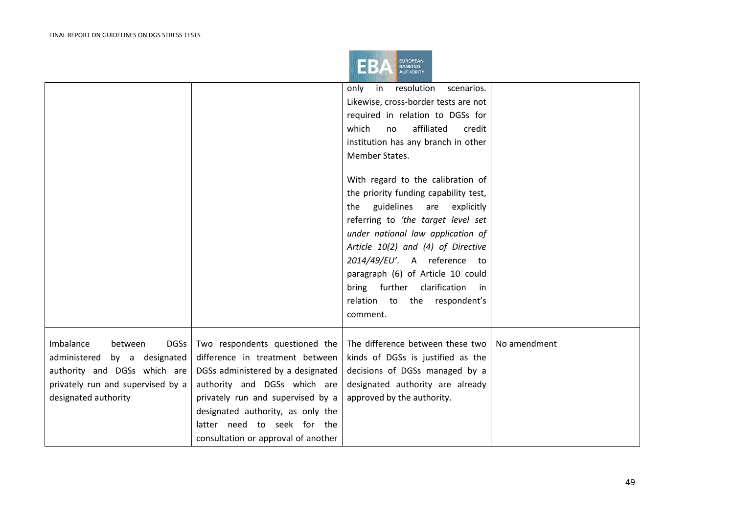

|                                     |                                     | only in resolution<br>scenarios.<br>Likewise, cross-border tests are not<br>required in relation to DGSs for |              |
|-------------------------------------|-------------------------------------|--------------------------------------------------------------------------------------------------------------|--------------|
|                                     |                                     | which<br>affiliated<br>no<br>credit                                                                          |              |
|                                     |                                     | institution has any branch in other                                                                          |              |
|                                     |                                     | Member States.                                                                                               |              |
|                                     |                                     |                                                                                                              |              |
|                                     |                                     | With regard to the calibration of                                                                            |              |
|                                     |                                     | the priority funding capability test,                                                                        |              |
|                                     |                                     | the guidelines<br>are explicitly                                                                             |              |
|                                     |                                     | referring to 'the target level set                                                                           |              |
|                                     |                                     | under national law application of                                                                            |              |
|                                     |                                     | Article 10(2) and (4) of Directive                                                                           |              |
|                                     |                                     | 2014/49/EU'. A reference to                                                                                  |              |
|                                     |                                     | paragraph (6) of Article 10 could                                                                            |              |
|                                     |                                     | bring further clarification in                                                                               |              |
|                                     |                                     | relation to the respondent's                                                                                 |              |
|                                     |                                     | comment.                                                                                                     |              |
|                                     |                                     |                                                                                                              |              |
| Imbalance<br>between<br><b>DGSs</b> | Two respondents questioned the      | The difference between these two                                                                             | No amendment |
| administered by a designated        | difference in treatment between     | kinds of DGSs is justified as the                                                                            |              |
| authority and DGSs which are        | DGSs administered by a designated   | decisions of DGSs managed by a                                                                               |              |
| privately run and supervised by a   | authority and DGSs which are        | designated authority are already                                                                             |              |
| designated authority                | privately run and supervised by a   | approved by the authority.                                                                                   |              |
|                                     | designated authority, as only the   |                                                                                                              |              |
|                                     | latter need to seek for the         |                                                                                                              |              |
|                                     | consultation or approval of another |                                                                                                              |              |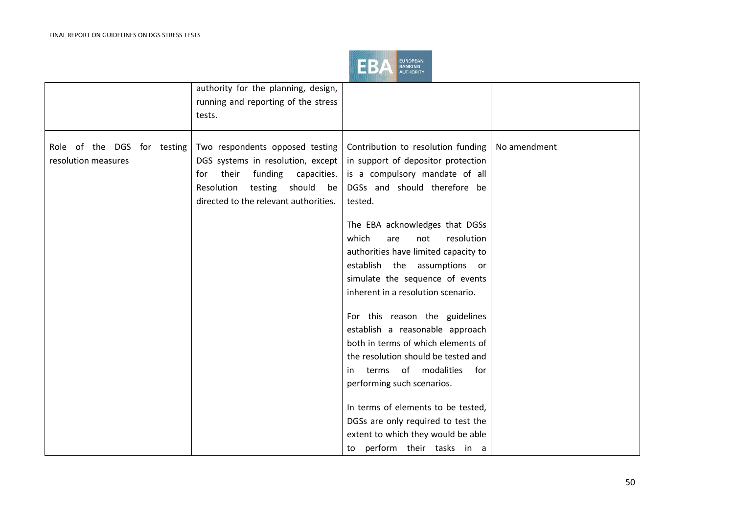

|                                                    | authority for the planning, design,<br>running and reporting of the stress<br>tests.                                                                                                          |                                                                                                                                                                                                                                                                                                                                                                                                                                                                                                                                                                                                                                                                                                                                                       |              |
|----------------------------------------------------|-----------------------------------------------------------------------------------------------------------------------------------------------------------------------------------------------|-------------------------------------------------------------------------------------------------------------------------------------------------------------------------------------------------------------------------------------------------------------------------------------------------------------------------------------------------------------------------------------------------------------------------------------------------------------------------------------------------------------------------------------------------------------------------------------------------------------------------------------------------------------------------------------------------------------------------------------------------------|--------------|
| Role of the DGS for testing<br>resolution measures | Two respondents opposed testing<br>DGS systems in resolution, except<br>funding<br>their<br>capacities.<br>for<br>testing should<br>Resolution<br>be<br>directed to the relevant authorities. | Contribution to resolution funding<br>in support of depositor protection<br>is a compulsory mandate of all<br>DGSs and should therefore be<br>tested.<br>The EBA acknowledges that DGSs<br>which<br>resolution<br>are<br>not<br>authorities have limited capacity to<br>establish the assumptions or<br>simulate the sequence of events<br>inherent in a resolution scenario.<br>For this reason the guidelines<br>establish a reasonable approach<br>both in terms of which elements of<br>the resolution should be tested and<br>terms of modalities<br>for<br>in<br>performing such scenarios.<br>In terms of elements to be tested,<br>DGSs are only required to test the<br>extent to which they would be able<br>perform their tasks in a<br>to | No amendment |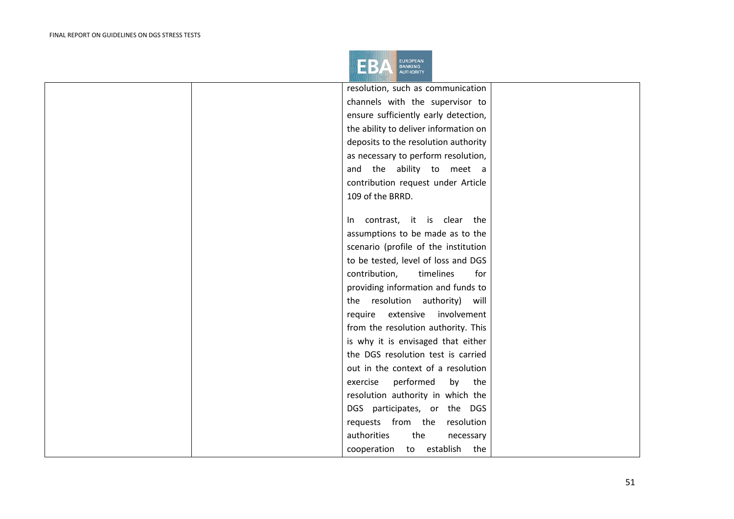

|  | resolution, such as communication     |  |
|--|---------------------------------------|--|
|  | channels with the supervisor to       |  |
|  | ensure sufficiently early detection,  |  |
|  | the ability to deliver information on |  |
|  | deposits to the resolution authority  |  |
|  | as necessary to perform resolution,   |  |
|  | and the ability to meet a             |  |
|  | contribution request under Article    |  |
|  | 109 of the BRRD.                      |  |
|  |                                       |  |
|  | In contrast, it is clear the          |  |
|  | assumptions to be made as to the      |  |
|  | scenario (profile of the institution  |  |
|  | to be tested, level of loss and DGS   |  |
|  | contribution,<br>timelines<br>for     |  |
|  | providing information and funds to    |  |
|  | the resolution authority) will        |  |
|  | require extensive<br>involvement      |  |
|  | from the resolution authority. This   |  |
|  | is why it is envisaged that either    |  |
|  | the DGS resolution test is carried    |  |
|  | out in the context of a resolution    |  |
|  | performed<br>exercise<br>by<br>the    |  |
|  | resolution authority in which the     |  |
|  | DGS participates, or the DGS          |  |
|  | requests from the resolution          |  |
|  | authorities<br>the<br>necessary       |  |
|  | cooperation to establish the          |  |
|  |                                       |  |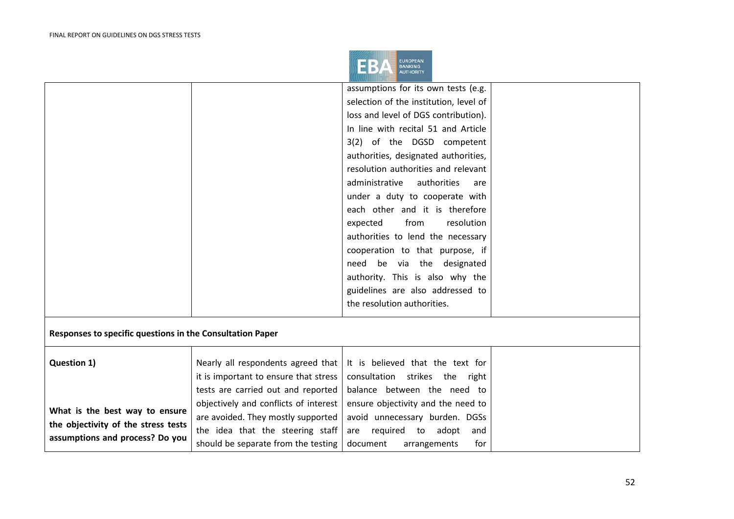

|                                                           |                                       | assumptions for its own tests (e.g.    |                    |  |
|-----------------------------------------------------------|---------------------------------------|----------------------------------------|--------------------|--|
|                                                           |                                       | selection of the institution, level of |                    |  |
|                                                           |                                       | loss and level of DGS contribution).   |                    |  |
|                                                           |                                       | In line with recital 51 and Article    |                    |  |
|                                                           |                                       | 3(2) of the DGSD competent             |                    |  |
|                                                           |                                       | authorities, designated authorities,   |                    |  |
|                                                           |                                       | resolution authorities and relevant    |                    |  |
|                                                           |                                       | administrative                         | authorities<br>are |  |
|                                                           |                                       | under a duty to cooperate with         |                    |  |
|                                                           |                                       | each other and it is therefore         |                    |  |
|                                                           |                                       | from<br>expected                       | resolution         |  |
|                                                           |                                       | authorities to lend the necessary      |                    |  |
|                                                           |                                       | cooperation to that purpose, if        |                    |  |
|                                                           |                                       | need be via the designated             |                    |  |
|                                                           |                                       | authority. This is also why the        |                    |  |
|                                                           |                                       | guidelines are also addressed to       |                    |  |
|                                                           |                                       | the resolution authorities.            |                    |  |
|                                                           |                                       |                                        |                    |  |
| Responses to specific questions in the Consultation Paper |                                       |                                        |                    |  |
|                                                           |                                       |                                        |                    |  |
| Question 1)                                               | Nearly all respondents agreed that    | It is believed that the text for       |                    |  |
|                                                           | it is important to ensure that stress | consultation<br>strikes the            | right              |  |
|                                                           | tests are carried out and reported    | balance between the need to            |                    |  |
| What is the best way to ensure                            | objectively and conflicts of interest | ensure objectivity and the need to     |                    |  |
|                                                           | are avoided. They mostly supported    | avoid unnecessary burden. DGSs         |                    |  |
| the objectivity of the stress tests                       | the idea that the steering staff      | are required to                        | adopt<br>and       |  |
| assumptions and process? Do you                           | should be separate from the testing   | document<br>arrangements               | for                |  |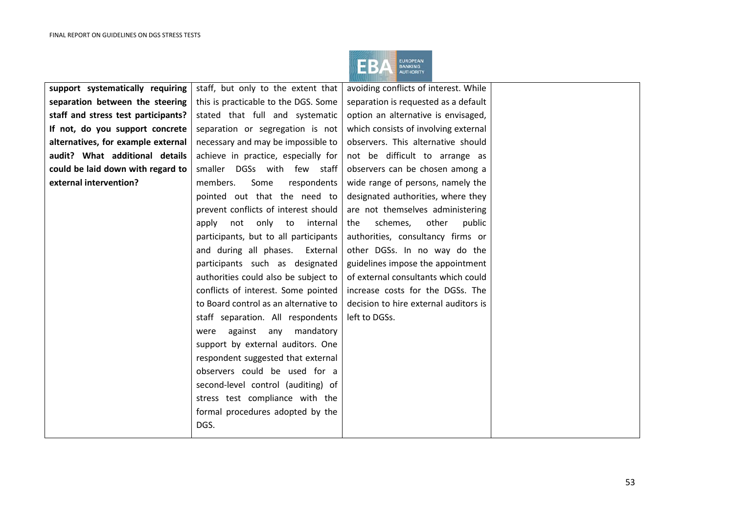

| support systematically requiring    | staff, but only to the extent that    | avoiding conflicts of interest. While |  |
|-------------------------------------|---------------------------------------|---------------------------------------|--|
| separation between the steering     | this is practicable to the DGS. Some  | separation is requested as a default  |  |
| staff and stress test participants? | stated that full and systematic       | option an alternative is envisaged,   |  |
| If not, do you support concrete     | separation or segregation is not      | which consists of involving external  |  |
| alternatives, for example external  | necessary and may be impossible to    | observers. This alternative should    |  |
| audit? What additional details      | achieve in practice, especially for   | not be difficult to arrange as        |  |
| could be laid down with regard to   | smaller DGSs with few staff           | observers can be chosen among a       |  |
| external intervention?              | members.<br>Some<br>respondents       | wide range of persons, namely the     |  |
|                                     | pointed out that the need to          | designated authorities, where they    |  |
|                                     | prevent conflicts of interest should  | are not themselves administering      |  |
|                                     | not only to<br>internal<br>apply      | schemes,<br>other<br>the<br>public    |  |
|                                     | participants, but to all participants | authorities, consultancy firms or     |  |
|                                     | and during all phases.<br>External    | other DGSs. In no way do the          |  |
|                                     | participants such as designated       | guidelines impose the appointment     |  |
|                                     | authorities could also be subject to  | of external consultants which could   |  |
|                                     | conflicts of interest. Some pointed   | increase costs for the DGSs. The      |  |
|                                     | to Board control as an alternative to | decision to hire external auditors is |  |
|                                     | staff separation. All respondents     | left to DGSs.                         |  |
|                                     | against any<br>mandatory<br>were      |                                       |  |
|                                     | support by external auditors. One     |                                       |  |
|                                     | respondent suggested that external    |                                       |  |
|                                     | observers could be used for a         |                                       |  |
|                                     | second-level control (auditing) of    |                                       |  |
|                                     | stress test compliance with the       |                                       |  |
|                                     | formal procedures adopted by the      |                                       |  |
|                                     | DGS.                                  |                                       |  |
|                                     |                                       |                                       |  |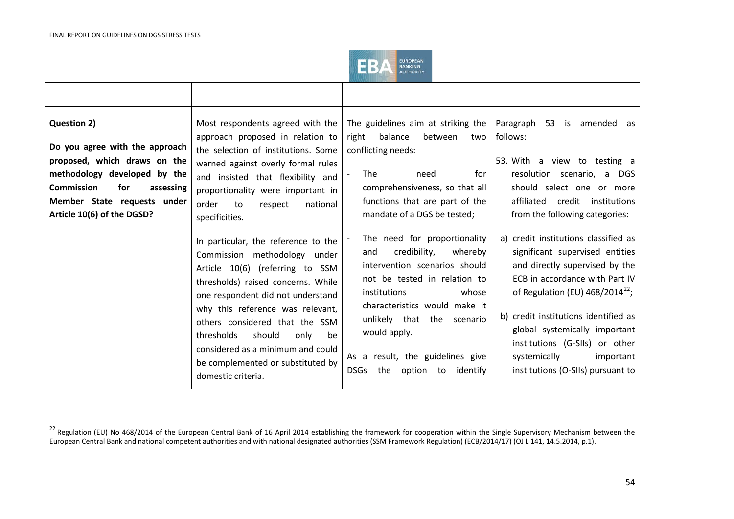<span id="page-53-0"></span>

| <b>Question 2)</b><br>Do you agree with the approach<br>proposed, which draws on the<br>methodology developed by the<br><b>Commission</b><br>for<br>assessing<br>Member State requests under<br>Article 10(6) of the DGSD? | approach proposed in relation to<br>the selection of institutions. Some<br>warned against overly formal rules<br>and insisted that flexibility and<br>proportionality were important in<br>order<br>national<br>to<br>respect<br>specificities.                                                                                                                                               | Most respondents agreed with the $\vert$ The guidelines aim at striking the<br>right balance<br>between<br>two<br>conflicting needs:<br><b>The</b><br>for<br>need<br>comprehensiveness, so that all<br>functions that are part of the<br>mandate of a DGS be tested;                                                              | Paragraph 53 is amended as<br>follows:<br>53. With a view to testing a<br>resolution scenario, a DGS<br>should select one or more<br>affiliated<br>credit institutions<br>from the following categories:                                                                                                                                                         |
|----------------------------------------------------------------------------------------------------------------------------------------------------------------------------------------------------------------------------|-----------------------------------------------------------------------------------------------------------------------------------------------------------------------------------------------------------------------------------------------------------------------------------------------------------------------------------------------------------------------------------------------|-----------------------------------------------------------------------------------------------------------------------------------------------------------------------------------------------------------------------------------------------------------------------------------------------------------------------------------|------------------------------------------------------------------------------------------------------------------------------------------------------------------------------------------------------------------------------------------------------------------------------------------------------------------------------------------------------------------|
|                                                                                                                                                                                                                            | In particular, the reference to the<br>Commission methodology under<br>Article 10(6) (referring to SSM<br>thresholds) raised concerns. While<br>one respondent did not understand<br>why this reference was relevant,<br>others considered that the SSM<br>should<br>thresholds<br>only<br>be<br>considered as a minimum and could<br>be complemented or substituted by<br>domestic criteria. | The need for proportionality<br>credibility,<br>whereby<br>and<br>intervention scenarios should<br>not be tested in relation to<br><i>institutions</i><br>whose<br>characteristics would make it<br>unlikely that the scenario<br>would apply.<br>As a result, the guidelines give<br><b>DSGs</b><br>the<br>option to<br>identify | a) credit institutions classified as<br>significant supervised entities<br>and directly supervised by the<br>ECB in accordance with Part IV<br>of Regulation (EU) $468/2014^{22}$ ;<br>b) credit institutions identified as<br>global systemically important<br>institutions (G-SIIs) or other<br>systemically<br>important<br>institutions (O-SIIs) pursuant to |

 <sup>22</sup> Regulation (EU) No 468/2014 of the European Central Bank of 16 April 2014 establishing the framework for cooperation within the Single Supervisory Mechanism between the European Central Bank and national competent authorities and with national designated authorities (SSM Framework Regulation) (ECB/2014/17) (OJ L 141, 14.5.2014, p.1).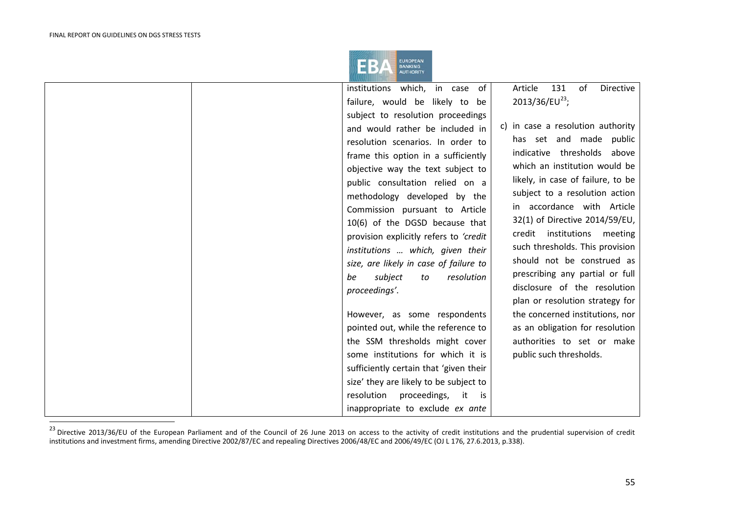<span id="page-54-0"></span>

| 131<br>of<br>institutions which, in case of<br>Article<br>Directive<br>2013/36/EU <sup>23</sup> ;<br>failure, would be likely to be<br>subject to resolution proceedings<br>c) in case a resolution authority<br>and would rather be included in<br>has set and made public<br>resolution scenarios. In order to<br>indicative thresholds above<br>frame this option in a sufficiently<br>which an institution would be<br>objective way the text subject to<br>likely, in case of failure, to be<br>public consultation relied on a<br>subject to a resolution action<br>methodology developed by the<br>in accordance with Article<br>Commission pursuant to Article<br>32(1) of Directive 2014/59/EU,<br>10(6) of the DGSD because that<br>credit institutions<br>meeting<br>provision explicitly refers to 'credit<br>such thresholds. This provision<br>institutions  which, given their<br>should not be construed as<br>size, are likely in case of failure to<br>prescribing any partial or full<br>resolution<br>subject<br>be<br>to<br>disclosure of the resolution<br>proceedings'.<br>plan or resolution strategy for<br>However, as some respondents<br>the concerned institutions, nor<br>pointed out, while the reference to<br>as an obligation for resolution<br>the SSM thresholds might cover<br>authorities to set or make<br>some institutions for which it is<br>public such thresholds.<br>sufficiently certain that 'given their<br>size' they are likely to be subject to<br>resolution proceedings, it is<br>inappropriate to exclude ex ante |  |  |  |
|-------------------------------------------------------------------------------------------------------------------------------------------------------------------------------------------------------------------------------------------------------------------------------------------------------------------------------------------------------------------------------------------------------------------------------------------------------------------------------------------------------------------------------------------------------------------------------------------------------------------------------------------------------------------------------------------------------------------------------------------------------------------------------------------------------------------------------------------------------------------------------------------------------------------------------------------------------------------------------------------------------------------------------------------------------------------------------------------------------------------------------------------------------------------------------------------------------------------------------------------------------------------------------------------------------------------------------------------------------------------------------------------------------------------------------------------------------------------------------------------------------------------------------------------------------------------------|--|--|--|
|                                                                                                                                                                                                                                                                                                                                                                                                                                                                                                                                                                                                                                                                                                                                                                                                                                                                                                                                                                                                                                                                                                                                                                                                                                                                                                                                                                                                                                                                                                                                                                         |  |  |  |
|                                                                                                                                                                                                                                                                                                                                                                                                                                                                                                                                                                                                                                                                                                                                                                                                                                                                                                                                                                                                                                                                                                                                                                                                                                                                                                                                                                                                                                                                                                                                                                         |  |  |  |
|                                                                                                                                                                                                                                                                                                                                                                                                                                                                                                                                                                                                                                                                                                                                                                                                                                                                                                                                                                                                                                                                                                                                                                                                                                                                                                                                                                                                                                                                                                                                                                         |  |  |  |
|                                                                                                                                                                                                                                                                                                                                                                                                                                                                                                                                                                                                                                                                                                                                                                                                                                                                                                                                                                                                                                                                                                                                                                                                                                                                                                                                                                                                                                                                                                                                                                         |  |  |  |
|                                                                                                                                                                                                                                                                                                                                                                                                                                                                                                                                                                                                                                                                                                                                                                                                                                                                                                                                                                                                                                                                                                                                                                                                                                                                                                                                                                                                                                                                                                                                                                         |  |  |  |
|                                                                                                                                                                                                                                                                                                                                                                                                                                                                                                                                                                                                                                                                                                                                                                                                                                                                                                                                                                                                                                                                                                                                                                                                                                                                                                                                                                                                                                                                                                                                                                         |  |  |  |
|                                                                                                                                                                                                                                                                                                                                                                                                                                                                                                                                                                                                                                                                                                                                                                                                                                                                                                                                                                                                                                                                                                                                                                                                                                                                                                                                                                                                                                                                                                                                                                         |  |  |  |
|                                                                                                                                                                                                                                                                                                                                                                                                                                                                                                                                                                                                                                                                                                                                                                                                                                                                                                                                                                                                                                                                                                                                                                                                                                                                                                                                                                                                                                                                                                                                                                         |  |  |  |
|                                                                                                                                                                                                                                                                                                                                                                                                                                                                                                                                                                                                                                                                                                                                                                                                                                                                                                                                                                                                                                                                                                                                                                                                                                                                                                                                                                                                                                                                                                                                                                         |  |  |  |
|                                                                                                                                                                                                                                                                                                                                                                                                                                                                                                                                                                                                                                                                                                                                                                                                                                                                                                                                                                                                                                                                                                                                                                                                                                                                                                                                                                                                                                                                                                                                                                         |  |  |  |
|                                                                                                                                                                                                                                                                                                                                                                                                                                                                                                                                                                                                                                                                                                                                                                                                                                                                                                                                                                                                                                                                                                                                                                                                                                                                                                                                                                                                                                                                                                                                                                         |  |  |  |
|                                                                                                                                                                                                                                                                                                                                                                                                                                                                                                                                                                                                                                                                                                                                                                                                                                                                                                                                                                                                                                                                                                                                                                                                                                                                                                                                                                                                                                                                                                                                                                         |  |  |  |
|                                                                                                                                                                                                                                                                                                                                                                                                                                                                                                                                                                                                                                                                                                                                                                                                                                                                                                                                                                                                                                                                                                                                                                                                                                                                                                                                                                                                                                                                                                                                                                         |  |  |  |
|                                                                                                                                                                                                                                                                                                                                                                                                                                                                                                                                                                                                                                                                                                                                                                                                                                                                                                                                                                                                                                                                                                                                                                                                                                                                                                                                                                                                                                                                                                                                                                         |  |  |  |
|                                                                                                                                                                                                                                                                                                                                                                                                                                                                                                                                                                                                                                                                                                                                                                                                                                                                                                                                                                                                                                                                                                                                                                                                                                                                                                                                                                                                                                                                                                                                                                         |  |  |  |
|                                                                                                                                                                                                                                                                                                                                                                                                                                                                                                                                                                                                                                                                                                                                                                                                                                                                                                                                                                                                                                                                                                                                                                                                                                                                                                                                                                                                                                                                                                                                                                         |  |  |  |
|                                                                                                                                                                                                                                                                                                                                                                                                                                                                                                                                                                                                                                                                                                                                                                                                                                                                                                                                                                                                                                                                                                                                                                                                                                                                                                                                                                                                                                                                                                                                                                         |  |  |  |
|                                                                                                                                                                                                                                                                                                                                                                                                                                                                                                                                                                                                                                                                                                                                                                                                                                                                                                                                                                                                                                                                                                                                                                                                                                                                                                                                                                                                                                                                                                                                                                         |  |  |  |
|                                                                                                                                                                                                                                                                                                                                                                                                                                                                                                                                                                                                                                                                                                                                                                                                                                                                                                                                                                                                                                                                                                                                                                                                                                                                                                                                                                                                                                                                                                                                                                         |  |  |  |
|                                                                                                                                                                                                                                                                                                                                                                                                                                                                                                                                                                                                                                                                                                                                                                                                                                                                                                                                                                                                                                                                                                                                                                                                                                                                                                                                                                                                                                                                                                                                                                         |  |  |  |
|                                                                                                                                                                                                                                                                                                                                                                                                                                                                                                                                                                                                                                                                                                                                                                                                                                                                                                                                                                                                                                                                                                                                                                                                                                                                                                                                                                                                                                                                                                                                                                         |  |  |  |
|                                                                                                                                                                                                                                                                                                                                                                                                                                                                                                                                                                                                                                                                                                                                                                                                                                                                                                                                                                                                                                                                                                                                                                                                                                                                                                                                                                                                                                                                                                                                                                         |  |  |  |
|                                                                                                                                                                                                                                                                                                                                                                                                                                                                                                                                                                                                                                                                                                                                                                                                                                                                                                                                                                                                                                                                                                                                                                                                                                                                                                                                                                                                                                                                                                                                                                         |  |  |  |
|                                                                                                                                                                                                                                                                                                                                                                                                                                                                                                                                                                                                                                                                                                                                                                                                                                                                                                                                                                                                                                                                                                                                                                                                                                                                                                                                                                                                                                                                                                                                                                         |  |  |  |
|                                                                                                                                                                                                                                                                                                                                                                                                                                                                                                                                                                                                                                                                                                                                                                                                                                                                                                                                                                                                                                                                                                                                                                                                                                                                                                                                                                                                                                                                                                                                                                         |  |  |  |

 <sup>23</sup> Directive 2013/36/EU of the European Parliament and of the Council of 26 June 2013 on access to the activity of credit institutions and the prudential supervision of credit institutions and investment firms, amending Directive 2002/87/EC and repealing Directives 2006/48/EC and 2006/49/EC (OJ L 176, 27.6.2013, p.338).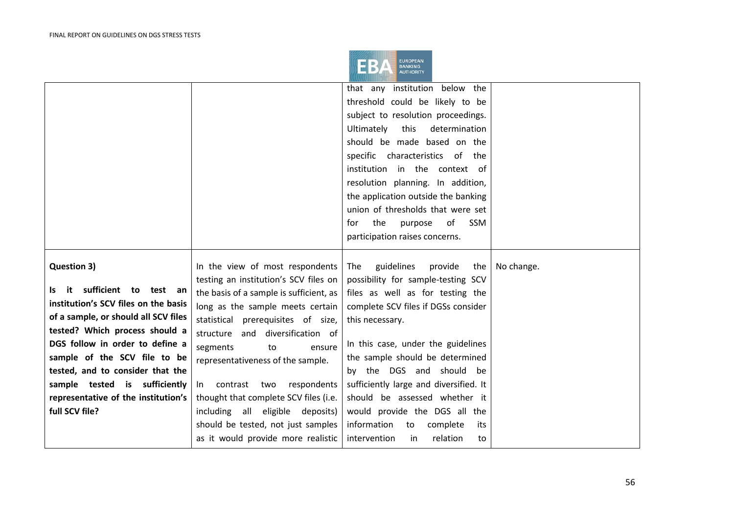

|                                      |                                         | that any institution below the         |            |
|--------------------------------------|-----------------------------------------|----------------------------------------|------------|
|                                      |                                         | threshold could be likely to be        |            |
|                                      |                                         | subject to resolution proceedings.     |            |
|                                      |                                         | this<br>determination<br>Ultimately    |            |
|                                      |                                         | should be made based on the            |            |
|                                      |                                         |                                        |            |
|                                      |                                         | specific characteristics of the        |            |
|                                      |                                         | institution in the context of          |            |
|                                      |                                         | resolution planning. In addition,      |            |
|                                      |                                         | the application outside the banking    |            |
|                                      |                                         | union of thresholds that were set      |            |
|                                      |                                         | SSM<br>the<br>purpose<br>for<br>0f     |            |
|                                      |                                         | participation raises concerns.         |            |
|                                      |                                         |                                        |            |
| Question 3)                          | In the view of most respondents         | guidelines<br>provide<br>The<br>the    | No change. |
|                                      | testing an institution's SCV files on   | possibility for sample-testing SCV     |            |
| it sufficient to test an<br>ls.      | the basis of a sample is sufficient, as | files as well as for testing the       |            |
| institution's SCV files on the basis | long as the sample meets certain        | complete SCV files if DGSs consider    |            |
| of a sample, or should all SCV files | statistical prerequisites of size,      | this necessary.                        |            |
| tested? Which process should a       | structure and diversification of        |                                        |            |
| DGS follow in order to define a      | segments<br>to<br>ensure                | In this case, under the guidelines     |            |
| sample of the SCV file to be         | representativeness of the sample.       | the sample should be determined        |            |
| tested, and to consider that the     |                                         | by the DGS and should be               |            |
| sample tested is sufficiently        | In contrast two respondents             | sufficiently large and diversified. It |            |
| representative of the institution's  | thought that complete SCV files (i.e.   | should be assessed whether it          |            |
| full SCV file?                       | including all eligible deposits)        | would provide the DGS all the          |            |
|                                      | should be tested, not just samples      | information<br>complete<br>to<br>its   |            |
|                                      | as it would provide more realistic      | intervention<br>relation<br>in<br>to   |            |
|                                      |                                         |                                        |            |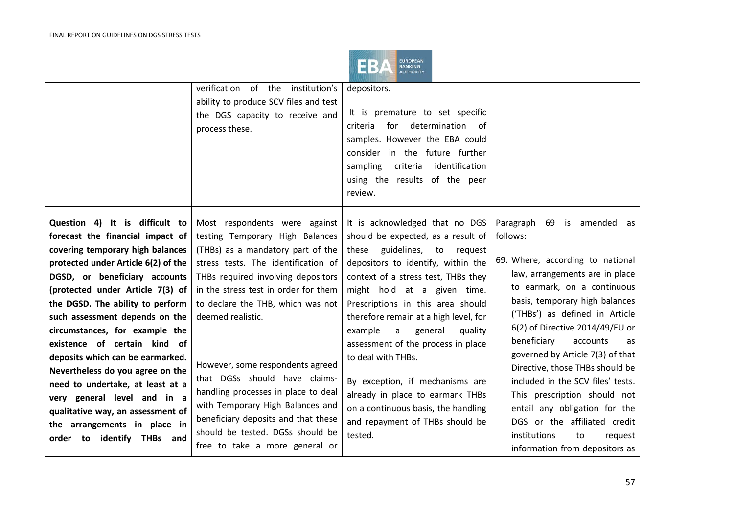

|                                                                                                                                                                                                                                                                                                                                                                                                                                                                                                                                                                                                          | verification of the institution's<br>ability to produce SCV files and test<br>the DGS capacity to receive and<br>process these.                                                                                                                                                                                                                                                                                                                                                                                                                   | depositors.<br>It is premature to set specific<br>determination of<br>for<br>criteria<br>samples. However the EBA could<br>consider in the future further<br>sampling<br>criteria<br>identification<br>using the results of the peer<br>review.                                                                                                                                                                                                                                                                                                                 |                                                                                                                                                                                                                                                                                                                                                                                                                                                                                                                                                                     |
|----------------------------------------------------------------------------------------------------------------------------------------------------------------------------------------------------------------------------------------------------------------------------------------------------------------------------------------------------------------------------------------------------------------------------------------------------------------------------------------------------------------------------------------------------------------------------------------------------------|---------------------------------------------------------------------------------------------------------------------------------------------------------------------------------------------------------------------------------------------------------------------------------------------------------------------------------------------------------------------------------------------------------------------------------------------------------------------------------------------------------------------------------------------------|-----------------------------------------------------------------------------------------------------------------------------------------------------------------------------------------------------------------------------------------------------------------------------------------------------------------------------------------------------------------------------------------------------------------------------------------------------------------------------------------------------------------------------------------------------------------|---------------------------------------------------------------------------------------------------------------------------------------------------------------------------------------------------------------------------------------------------------------------------------------------------------------------------------------------------------------------------------------------------------------------------------------------------------------------------------------------------------------------------------------------------------------------|
| Question 4) It is difficult to<br>forecast the financial impact of<br>covering temporary high balances<br>protected under Article 6(2) of the<br>DGSD, or beneficiary accounts<br>(protected under Article 7(3) of<br>the DGSD. The ability to perform<br>such assessment depends on the<br>circumstances, for example the<br>existence of certain kind of<br>deposits which can be earmarked.<br>Nevertheless do you agree on the<br>need to undertake, at least at a<br>very general level and in a<br>qualitative way, an assessment of<br>the arrangements in place in<br>order to identify THBs and | Most respondents were against<br>testing Temporary High Balances<br>(THBs) as a mandatory part of the<br>stress tests. The identification of<br>THBs required involving depositors<br>in the stress test in order for them<br>to declare the THB, which was not<br>deemed realistic.<br>However, some respondents agreed<br>that DGSs should have claims-<br>handling processes in place to deal<br>with Temporary High Balances and<br>beneficiary deposits and that these<br>should be tested. DGSs should be<br>free to take a more general or | It is acknowledged that no DGS<br>should be expected, as a result of<br>guidelines, to request<br>these<br>depositors to identify, within the<br>context of a stress test, THBs they<br>might hold at a given time.<br>Prescriptions in this area should<br>therefore remain at a high level, for<br>example<br>a<br>general<br>quality<br>assessment of the process in place<br>to deal with THBs.<br>By exception, if mechanisms are<br>already in place to earmark THBs<br>on a continuous basis, the handling<br>and repayment of THBs should be<br>tested. | Paragraph 69 is amended as<br>follows:<br>69. Where, according to national<br>law, arrangements are in place<br>to earmark, on a continuous<br>basis, temporary high balances<br>('THBs') as defined in Article<br>6(2) of Directive 2014/49/EU or<br>beneficiary<br>accounts<br>as<br>governed by Article 7(3) of that<br>Directive, those THBs should be<br>included in the SCV files' tests.<br>This prescription should not<br>entail any obligation for the<br>DGS or the affiliated credit<br>institutions<br>to<br>request<br>information from depositors as |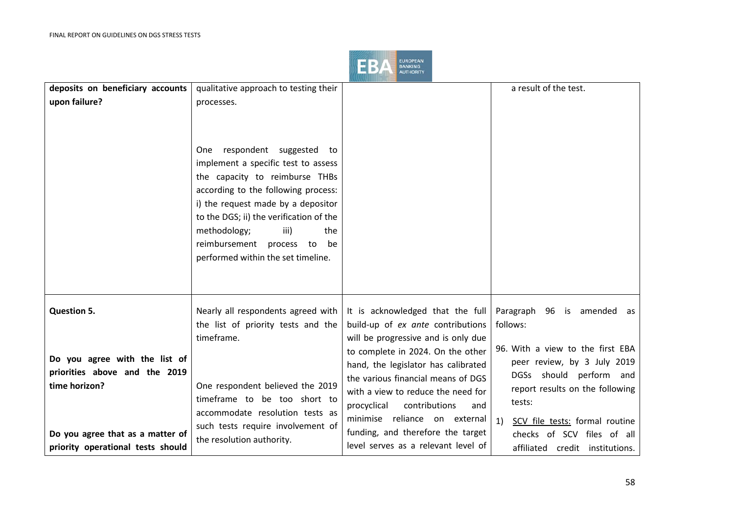

| deposits on beneficiary accounts  | qualitative approach to testing their                                                                                                                                                                                                                                                                                                     |                                     | a result of the test.                |
|-----------------------------------|-------------------------------------------------------------------------------------------------------------------------------------------------------------------------------------------------------------------------------------------------------------------------------------------------------------------------------------------|-------------------------------------|--------------------------------------|
| upon failure?                     | processes.                                                                                                                                                                                                                                                                                                                                |                                     |                                      |
|                                   | respondent suggested to<br>One<br>implement a specific test to assess<br>the capacity to reimburse THBs<br>according to the following process:<br>i) the request made by a depositor<br>to the DGS; ii) the verification of the<br>methodology;<br>the<br>iii)<br>reimbursement<br>be<br>process to<br>performed within the set timeline. |                                     |                                      |
| <b>Question 5.</b>                | Nearly all respondents agreed with                                                                                                                                                                                                                                                                                                        | It is acknowledged that the full    | Paragraph 96 is amended as           |
|                                   | the list of priority tests and the                                                                                                                                                                                                                                                                                                        | build-up of ex ante contributions   | follows:                             |
|                                   | timeframe.                                                                                                                                                                                                                                                                                                                                | will be progressive and is only due |                                      |
| Do you agree with the list of     |                                                                                                                                                                                                                                                                                                                                           | to complete in 2024. On the other   | 96. With a view to the first EBA     |
| priorities above and the 2019     |                                                                                                                                                                                                                                                                                                                                           | hand, the legislator has calibrated | peer review, by 3 July 2019          |
| time horizon?                     | One respondent believed the 2019                                                                                                                                                                                                                                                                                                          | the various financial means of DGS  | DGSs should perform and              |
|                                   | timeframe to be too short to                                                                                                                                                                                                                                                                                                              | with a view to reduce the need for  | report results on the following      |
|                                   | accommodate resolution tests as                                                                                                                                                                                                                                                                                                           | contributions<br>procyclical<br>and | tests:                               |
|                                   | such tests require involvement of                                                                                                                                                                                                                                                                                                         | minimise reliance on external       | 1)<br>SCV file tests: formal routine |
| Do you agree that as a matter of  | the resolution authority.                                                                                                                                                                                                                                                                                                                 | funding, and therefore the target   | checks of SCV files of all           |
| priority operational tests should |                                                                                                                                                                                                                                                                                                                                           | level serves as a relevant level of | affiliated credit institutions.      |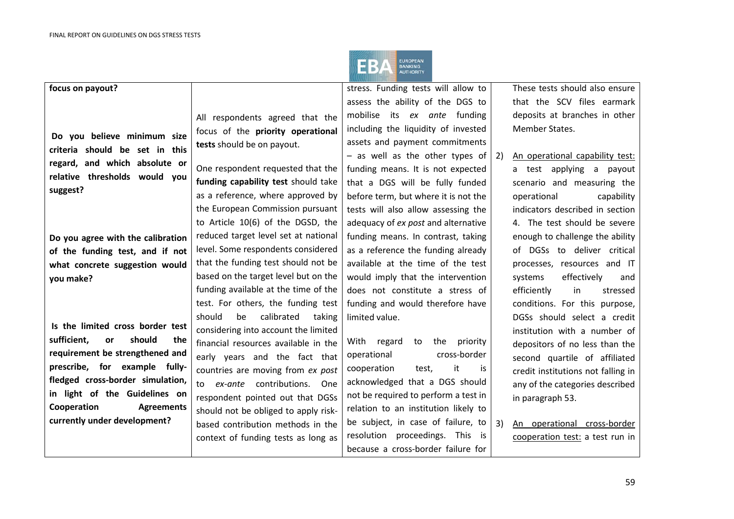

| focus on payout?                                              |                                      | stress. Funding tests will allow to  |    | These tests should also ensure     |
|---------------------------------------------------------------|--------------------------------------|--------------------------------------|----|------------------------------------|
|                                                               |                                      | assess the ability of the DGS to     |    | that the SCV files earmark         |
|                                                               | All respondents agreed that the      | mobilise its ex ante funding         |    | deposits at branches in other      |
|                                                               | focus of the priority operational    | including the liquidity of invested  |    | Member States.                     |
| Do you believe minimum size<br>criteria should be set in this | tests should be on payout.           | assets and payment commitments       |    |                                    |
|                                                               |                                      | $-$ as well as the other types of    | 2) | An operational capability test:    |
| regard, and which absolute or                                 | One respondent requested that the    | funding means. It is not expected    |    | a test applying a payout           |
| relative thresholds would you                                 | funding capability test should take  | that a DGS will be fully funded      |    | scenario and measuring the         |
| suggest?                                                      | as a reference, where approved by    | before term, but where it is not the |    | operational<br>capability          |
|                                                               | the European Commission pursuant     | tests will also allow assessing the  |    | indicators described in section    |
|                                                               | to Article 10(6) of the DGSD, the    | adequacy of ex post and alternative  |    | 4. The test should be severe       |
| Do you agree with the calibration                             | reduced target level set at national | funding means. In contrast, taking   |    | enough to challenge the ability    |
| of the funding test, and if not                               | level. Some respondents considered   | as a reference the funding already   |    | of DGSs to deliver critical        |
| what concrete suggestion would                                | that the funding test should not be  | available at the time of the test    |    | processes, resources and IT        |
| you make?                                                     | based on the target level but on the | would imply that the intervention    |    | effectively<br>systems<br>and      |
|                                                               | funding available at the time of the | does not constitute a stress of      |    | efficiently<br>in<br>stressed      |
|                                                               | test. For others, the funding test   | funding and would therefore have     |    | conditions. For this purpose,      |
|                                                               | be<br>calibrated<br>should<br>taking | limited value.                       |    | DGSs should select a credit        |
| Is the limited cross border test                              | considering into account the limited |                                      |    | institution with a number of       |
| sufficient,<br>should<br>the<br><b>or</b>                     | financial resources available in the | With regard<br>to the<br>priority    |    | depositors of no less than the     |
| requirement be strengthened and                               | early years and the fact that        | cross-border<br>operational          |    | second quartile of affiliated      |
| prescribe, for example fully-                                 | countries are moving from ex post    | it<br>cooperation<br>test,<br>is     |    | credit institutions not falling in |
| fledged cross-border simulation,                              | to ex-ante contributions. One        | acknowledged that a DGS should       |    | any of the categories described    |
| in light of the Guidelines on                                 | respondent pointed out that DGSs     | not be required to perform a test in |    | in paragraph 53.                   |
| Cooperation<br><b>Agreements</b>                              | should not be obliged to apply risk- | relation to an institution likely to |    |                                    |
| currently under development?                                  | based contribution methods in the    | be subject, in case of failure, to   | 3) | An operational cross-border        |
|                                                               | context of funding tests as long as  | resolution proceedings. This is      |    | cooperation test: a test run in    |
|                                                               |                                      | because a cross-border failure for   |    |                                    |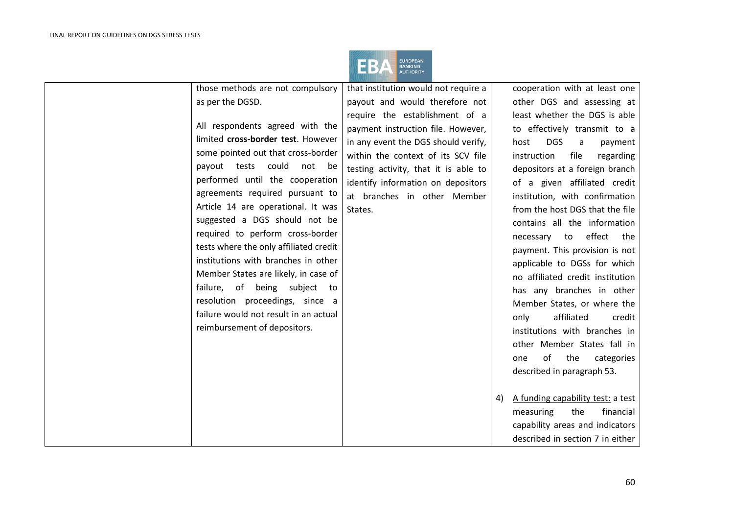

|                              | those methods are not compulsory       | that institution would not require a |    | cooperation with at least one      |
|------------------------------|----------------------------------------|--------------------------------------|----|------------------------------------|
| as per the DGSD.             |                                        | payout and would therefore not       |    | other DGS and assessing at         |
|                              |                                        | require the establishment of a       |    | least whether the DGS is able      |
|                              | All respondents agreed with the        | payment instruction file. However,   |    | to effectively transmit to a       |
|                              | limited cross-border test. However     | in any event the DGS should verify,  |    | <b>DGS</b><br>host<br>payment<br>a |
|                              | some pointed out that cross-border     | within the context of its SCV file   |    | instruction<br>file<br>regarding   |
|                              | payout tests could not<br>be           | testing activity, that it is able to |    | depositors at a foreign branch     |
|                              | performed until the cooperation        | identify information on depositors   |    | of a given affiliated credit       |
|                              | agreements required pursuant to        | at branches in other Member          |    | institution, with confirmation     |
|                              | Article 14 are operational. It was     | States.                              |    | from the host DGS that the file    |
|                              | suggested a DGS should not be          |                                      |    | contains all the information       |
|                              | required to perform cross-border       |                                      |    | effect<br>necessary to<br>the      |
|                              | tests where the only affiliated credit |                                      |    | payment. This provision is not     |
|                              | institutions with branches in other    |                                      |    | applicable to DGSs for which       |
|                              | Member States are likely, in case of   |                                      |    | no affiliated credit institution   |
|                              | failure, of being subject<br>to to     |                                      |    | has any branches in other          |
|                              | resolution proceedings, since a        |                                      |    | Member States, or where the        |
|                              | failure would not result in an actual  |                                      |    | affiliated<br>only<br>credit       |
| reimbursement of depositors. |                                        |                                      |    | institutions with branches in      |
|                              |                                        |                                      |    | other Member States fall in        |
|                              |                                        |                                      |    | of<br>the<br>one                   |
|                              |                                        |                                      |    | categories                         |
|                              |                                        |                                      |    | described in paragraph 53.         |
|                              |                                        |                                      |    |                                    |
|                              |                                        |                                      | 4) | A funding capability test: a test  |
|                              |                                        |                                      |    | financial<br>measuring<br>the      |
|                              |                                        |                                      |    | capability areas and indicators    |
|                              |                                        |                                      |    | described in section 7 in either   |